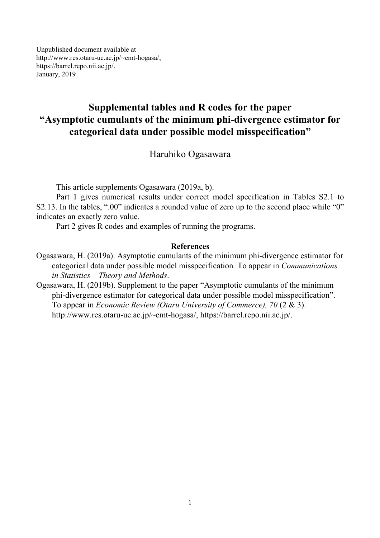Unpublished document available at http://www.res.otaru-uc.ac.jp/~emt-hogasa/, https://barrel.repo.nii.ac.jp/. January, 2019

## **Supplemental tables and R codes for the paper "Asymptotic cumulants of the minimum phi-divergence estimator for categorical data under possible model misspecification"**

Haruhiko Ogasawara

This article supplements Ogasawara (2019a, b).

Part 1 gives numerical results under correct model specification in Tables S2.1 to S2.13. In the tables, ".00" indicates a rounded value of zero up to the second place while "0" indicates an exactly zero value.

Part 2 gives R codes and examples of running the programs.

#### **References**

- Ogasawara, H. (2019a). Asymptotic cumulants of the minimum phi-divergence estimator for categorical data under possible model misspecification*.* To appear in *Communications in Statistics – Theory and Methods*.
- Ogasawara, H. (2019b). Supplement to the paper "Asymptotic cumulants of the minimum phi-divergence estimator for categorical data under possible model misspecification". To appear in *Economic Review (Otaru University of Commerce), 70* (2 & 3). http://www.res.otaru-uc.ac.jp/~emt-hogasa/, https://barrel.repo.nii.ac.jp/.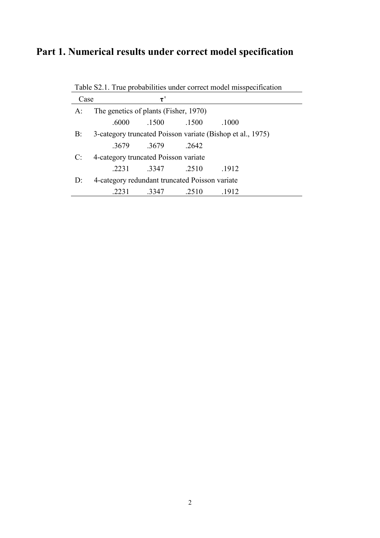# **Part 1. Numerical results under correct model specification**

Table S2.1. True probabilities under correct model misspecification

| Case  |                                                | $\tau$            |       |                                                            |  |
|-------|------------------------------------------------|-------------------|-------|------------------------------------------------------------|--|
| A:    | The genetics of plants (Fisher, 1970)          |                   |       |                                                            |  |
|       | .6000                                          | .1500             | .1500 | .1000                                                      |  |
| B:    |                                                |                   |       | 3-category truncated Poisson variate (Bishop et al., 1975) |  |
|       |                                                | .3679 .3679       | 2642  |                                                            |  |
| C:    | 4-category truncated Poisson variate           |                   |       |                                                            |  |
|       |                                                | .2231 .3347 .2510 |       | .1912                                                      |  |
| $D$ : | 4-category redundant truncated Poisson variate |                   |       |                                                            |  |
|       |                                                | 3347              | 2510  | -1912                                                      |  |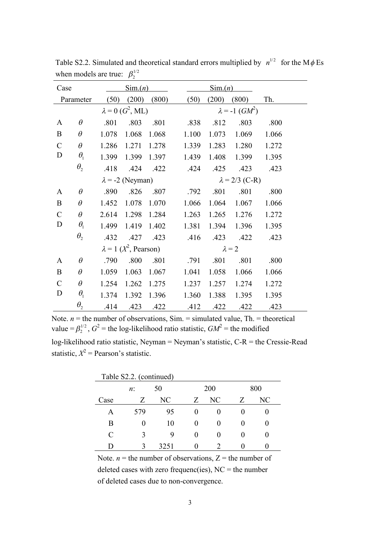| Case          |                                 |       | $\text{Sim.}(n)$                 |       |       | $\text{Sim.}(n)$ |                                   |       |  |
|---------------|---------------------------------|-------|----------------------------------|-------|-------|------------------|-----------------------------------|-------|--|
|               | Parameter                       | (50)  | (200)                            | (800) | (50)  | (200)            | (800)                             | Th.   |  |
|               |                                 |       | $\lambda = 0$ ( $G^2$ , ML)      |       |       |                  | $\lambda = -1$ (GM <sup>2</sup> ) |       |  |
| A             | $\theta$                        | .801  | .803                             | .801  | .838  | .812             | .803                              | .800  |  |
| $\bf{B}$      | $\theta$                        | 1.078 | 1.068                            | 1.068 | 1.100 | 1.073            | 1.069                             | 1.066 |  |
| $\mathsf C$   | $\theta$                        | 1.286 | 1.271                            | 1.278 | 1.339 |                  | 1.283 1.280                       | 1.272 |  |
| D             | $\theta_{\rm i}$                | 1.399 | 1.399                            | 1.397 | 1.439 | 1.408            | 1.399                             | 1.395 |  |
|               | $\theta_{\scriptscriptstyle 2}$ | .418  | .424                             | .422  | .424  | .425             | .423                              | .423  |  |
|               |                                 |       | $\lambda$ = -2 (Neyman)          |       |       |                  | $\lambda = 2/3$ (C-R)             |       |  |
| A             | $\theta$                        | .890  | .826                             | .807  | .792  | .801             | .801                              | .800  |  |
| $\bf{B}$      | $\theta$                        | 1.452 | 1.078                            | 1.070 | 1.066 | 1.064            | 1.067                             | 1.066 |  |
| $\mathcal{C}$ | $\theta$                        | 2.614 | 1.298 1.284                      |       | 1.263 |                  | 1.265 1.276                       | 1.272 |  |
| D             | $\theta_{\rm i}$                | 1.499 | 1.419                            | 1.402 | 1.381 | 1.394            | 1.396                             | 1.395 |  |
|               | $\theta_{2}$                    | .432  | .427                             | .423  | .416  | .423             | .422                              | .423  |  |
|               |                                 |       | $\lambda = 1$ ( $X^2$ , Pearson) |       |       |                  | $\lambda = 2$                     |       |  |
| $\mathbf{A}$  | $\theta$                        | .790  | .800                             | .801  | .791  | .801             | .801                              | .800  |  |
| $\bf{B}$      | $\theta$                        | 1.059 | 1.063                            | 1.067 | 1.041 | 1.058            | 1.066                             | 1.066 |  |
| $\mathcal{C}$ | $\theta$                        | 1.254 | 1.262                            | 1.275 | 1.237 | 1.257            | 1.274                             | 1.272 |  |
| D             | $\theta_{\rm i}$                | 1.374 | 1.392 1.396                      |       | 1.360 | 1.388            | 1.395                             | 1.395 |  |
|               | $\theta_{2}$                    | .414  | .423 .422                        |       | .412  | .422             | .422                              | .423  |  |

Table S2.2. Simulated and theoretical standard errors multiplied by  $n^{1/2}$  for the M $\phi$  Es when models are true:  $\beta_2^{1/2}$ 

Note.  $n =$  the number of observations, Sim. = simulated value, Th. = theoretical value =  $\beta_2^{1/2}$ ,  $G^2$  = the log-likelihood ratio statistic,  $GM^2$  = the modified log-likelihood ratio statistic, Neyman = Neyman's statistic, C-R = the Cressie-Read statistic,  $X^2$  = Pearson's statistic.

| Table S2.2. (continued) |       |      |                   |                             |   |     |  |  |
|-------------------------|-------|------|-------------------|-----------------------------|---|-----|--|--|
|                         | $n$ : | 50   |                   | 200                         |   | 800 |  |  |
| Case                    | Z     | NC   | Z                 | NC                          | Z | NС  |  |  |
| A                       | 579   | 95   | $\mathbf{\Omega}$ | 0                           |   |     |  |  |
| B                       |       | 10   | $\mathbf{\Omega}$ | 0                           |   |     |  |  |
| C                       | 3     | 9    | $\mathbf{0}$      |                             |   |     |  |  |
| ו ו                     | 3     | 3251 | 0                 | $\mathcal{D}_{\mathcal{L}}$ |   |     |  |  |

Note.  $n =$  the number of observations,  $Z =$  the number of deleted cases with zero frequenc(ies),  $NC =$  the number of deleted cases due to non-convergence.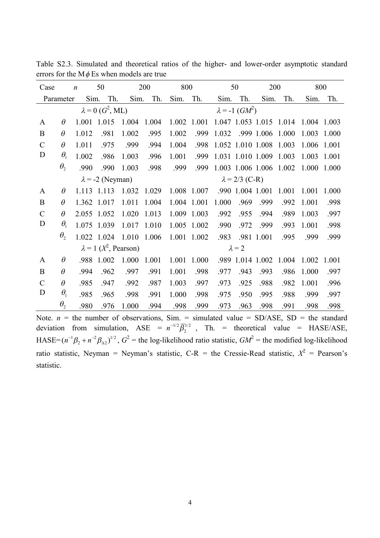| Case          |              | $\boldsymbol{n}$ | 50                               |       | 200   | 800         |             |       | 50                                | 200                     |                                                 |       | 800   |
|---------------|--------------|------------------|----------------------------------|-------|-------|-------------|-------------|-------|-----------------------------------|-------------------------|-------------------------------------------------|-------|-------|
|               | Parameter    | Sim.             | Th.                              | Sim.  | Th.   | Sim.        | Th.         | Sim.  | Th.                               | Sim.                    | Th.                                             | Sim.  | Th.   |
|               |              |                  | $\lambda = 0$ ( $G^2$ , ML)      |       |       |             |             |       | $\lambda = -1$ (GM <sup>2</sup> ) |                         |                                                 |       |       |
| $\mathbf{A}$  | $\theta$     |                  | 1.001 1.015                      | 1.004 | 1.004 |             |             |       |                                   |                         | 1.002 1.001 1.047 1.053 1.015 1.014 1.004 1.003 |       |       |
| B             | $\theta$     | 1.012            | .981                             | 1.002 | .995  | 1.002       | .999        | 1.032 |                                   | .999 1.006 1.000        |                                                 | 1.003 | 1.000 |
| $\mathcal{C}$ | $\theta$     | 1.011            | .975                             | .999  | .994  | 1.004       | .998        |       |                                   | 1.052 1.010 1.008 1.003 |                                                 | 1.006 | 1.001 |
| D             | $\theta_{1}$ | 1.002            | .986                             | 1.003 | .996  | 1.001       | .999        |       |                                   | 1.031 1.010 1.009 1.003 |                                                 | 1.003 | 1.001 |
|               | $\theta_{2}$ | .990             | .990                             | 1.003 | .998  | .999        | .999        |       |                                   | 1.003 1.006 1.006 1.002 |                                                 | 1.000 | 1.000 |
|               |              |                  | $\lambda$ = -2 (Neyman)          |       |       |             |             |       | $\lambda = 2/3$ (C-R)             |                         |                                                 |       |       |
| A             | $\theta$     |                  | 1.113 1.113                      | 1.032 | 1.029 |             | 1.008 1.007 |       | .990 1.004 1.001                  |                         | 1.001                                           | 1.001 | 1.000 |
| B             | $\theta$     |                  | 1.362 1.017                      | 1.011 | 1.004 |             | 1.004 1.001 | 1.000 | .969                              | .999                    | .992                                            | 1.001 | .998  |
| $\mathcal{C}$ | $\theta$     |                  | 2.055 1.052                      | 1.020 | 1.013 |             | 1.009 1.003 | .992  | .955                              | .994                    | .989                                            | 1.003 | .997  |
| D             | $\theta_{1}$ |                  | 1.075 1.039                      | 1.017 | 1.010 |             | 1.005 1.002 | .990  | .972                              | .999                    | .993                                            | 1.001 | .998  |
|               | $\theta_{2}$ |                  | 1.022 1.024                      | 1.010 | 1.006 | 1.001 1.002 |             | .983  |                                   | .981 1.001              | .995                                            | .999  | .999  |
|               |              |                  | $\lambda = 1$ ( $X^2$ , Pearson) |       |       |             |             |       | $\lambda = 2$                     |                         |                                                 |       |       |
| A             | $\theta$     | .988             | 1.002                            | 1.000 | 1.001 | 1.001       | 1.000       |       | .989 1.014 1.002                  |                         | 1.004                                           | 1.002 | 1.001 |
| B             | $\theta$     | .994             | .962                             | .997  | .991  | 1.001       | .998        | .977  | .943                              | .993                    | .986                                            | 1.000 | .997  |
| $\mathcal{C}$ | $\theta$     | .985             | .947                             | .992  | .987  | 1.003       | .997        | .973  | .925                              | .988                    | .982                                            | 1.001 | .996  |
| D             | $\theta_{1}$ | .985             | .965                             | .998  | .991  | 1.000       | .998        | .975  | .950                              | .995                    | .988                                            | .999  | .997  |
|               | $\theta$     | .980             | .976                             | 1.000 | .994  | .998        | .999        | .973  | .963                              | .998                    | .991                                            | .998  | .998  |

Table S2.3. Simulated and theoretical ratios of the higher- and lower-order asymptotic standard errors for the  $M\phi$  Es when models are true

Note.  $n =$  the number of observations, Sim. = simulated value = SD/ASE, SD = the standard deviation from simulation, ASE =  $n^{-1/2} \overline{\beta}_2^{1/2}$ , Th. = theoretical value = HASE/ASE, HASE= $(n^{-1}\beta_2 + n^{-2}\beta_{\Delta 2})^{1/2}$ ,  $G^2$  = the log-likelihood ratio statistic,  $GM^2$  = the modified log-likelihood ratio statistic, Neyman = Neyman's statistic,  $C-R$  = the Cressie-Read statistic,  $X^2$  = Pearson's statistic.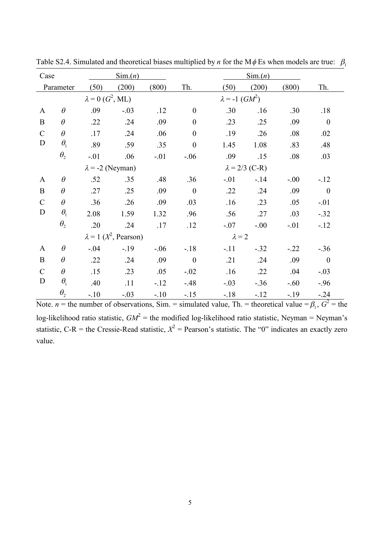| Case          |                                 |                             | $\text{Sim.}(n)$                 |        |                  |                         | $\text{Sim.}(n)$      |        |                  |
|---------------|---------------------------------|-----------------------------|----------------------------------|--------|------------------|-------------------------|-----------------------|--------|------------------|
|               | Parameter                       | (50)                        | (200)                            | (800)  | Th.              | (50)                    | (200)                 | (800)  | Th.              |
|               |                                 | $\lambda = 0$ ( $G^2$ , ML) |                                  |        |                  | $\lambda = -1$ $(GM^2)$ |                       |        |                  |
| $\mathbf{A}$  | $\theta$                        | .09                         | $-.03$                           | .12    | $\boldsymbol{0}$ | .30                     | .16                   | .30    | .18              |
| $\mathbf{B}$  | $\theta$                        | .22                         | .24                              | .09    | $\boldsymbol{0}$ | .23                     | .25                   | .09    | $\overline{0}$   |
| $\mathcal{C}$ | $\theta$                        | .17                         | .24                              | .06    | $\boldsymbol{0}$ | .19                     | .26                   | .08    | .02              |
| D             | $\theta_1$                      | .89                         | .59                              | .35    | $\boldsymbol{0}$ | 1.45                    | 1.08                  | .83    | .48              |
|               | $\theta_{2}$                    | $-.01$                      | .06                              | $-.01$ | $-.06$           | .09                     | .15                   | .08    | .03              |
|               |                                 | $\lambda$ = -2 (Neyman)     |                                  |        |                  |                         | $\lambda = 2/3$ (C-R) |        |                  |
| $\mathbf{A}$  | $\theta$                        | .52                         | .35                              | .48    | .36              | $-.01$                  | $-.14$                | $-.00$ | $-12$            |
| $\mathbf{B}$  | $\theta$                        | .27                         | .25                              | .09    | $\overline{0}$   | .22                     | .24                   | .09    | $\boldsymbol{0}$ |
| $\mathcal{C}$ | $\theta$                        | .36                         | .26                              | .09    | .03              | .16                     | .23                   | .05    | $-.01$           |
| D             | $\theta_1$                      | 2.08                        | 1.59                             | 1.32   | .96              | .56                     | .27                   | .03    | $-.32$           |
|               | $\theta_{\scriptscriptstyle 2}$ | .20                         | .24                              | .17    | .12              | $-.07$                  | $-.00$                | $-.01$ | $-12$            |
|               |                                 |                             | $\lambda = 1$ ( $X^2$ , Pearson) |        |                  | $\lambda = 2$           |                       |        |                  |
| $\mathbf{A}$  | $\theta$                        | $-.04$                      | $-19$                            | $-.06$ | $-.18$           | $-.11$                  | $-.32$                | $-.22$ | $-.36$           |
| $\mathbf{B}$  | $\theta$                        | .22                         | .24                              | .09    | $\boldsymbol{0}$ | .21                     | .24                   | .09    | $\overline{0}$   |
| $\mathcal{C}$ | $\theta$                        | .15                         | .23                              | .05    | $-.02$           | .16                     | .22                   | .04    | $-.03$           |
| D             | $\theta_1$                      | .40                         | .11                              | $-12$  | $-48$            | $-.03$                  | $-.36$                | $-.60$ | $-.96$           |
|               | $\theta_{2}$                    | $-.10$                      | $-.03$                           | $-.10$ | $-.15$           | $-18$                   | $-12$                 | $-19$  | $-.24$           |

Table S2.4. Simulated and theoretical biases multiplied by *n* for the M $\phi$  Es when models are true:  $\beta_1$ 

Note. *n* = the number of observations, Sim. = simulated value, Th. = theoretical value =  $\beta_1$ ,  $G^2$  = the log-likelihood ratio statistic,  $GM^2$  = the modified log-likelihood ratio statistic, Neyman = Neyman's statistic, C-R = the Cressie-Read statistic,  $X^2$  = Pearson's statistic. The "0" indicates an exactly zero value.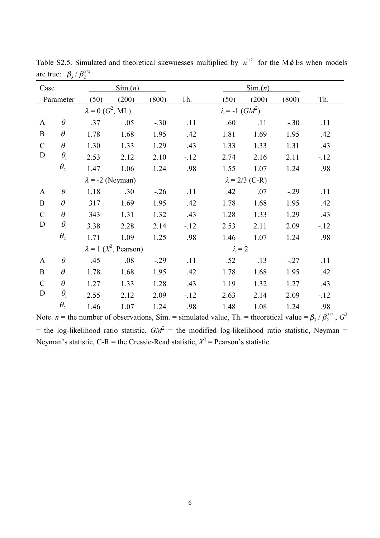| Case          |                                 |                             | $\text{Sim.}(n)$                 |        |       |                         | $\operatorname{Sim}(n)$ |        |        |
|---------------|---------------------------------|-----------------------------|----------------------------------|--------|-------|-------------------------|-------------------------|--------|--------|
|               | Parameter                       | (50)                        | (200)                            | (800)  | Th.   | (50)                    | (200)                   | (800)  | Th.    |
|               |                                 | $\lambda = 0$ ( $G^2$ , ML) |                                  |        |       | $\lambda = -1$ $(GM^2)$ |                         |        |        |
| $\mathbf{A}$  | $\theta$                        | .37                         | .05                              | $-.30$ | .11   | .60                     | .11                     | $-.30$ | .11    |
| $\bf{B}$      | $\theta$                        | 1.78                        | 1.68                             | 1.95   | .42   | 1.81                    | 1.69                    | 1.95   | .42    |
| $\mathcal{C}$ | $\theta$                        | 1.30                        | 1.33                             | 1.29   | .43   | 1.33                    | 1.33                    | 1.31   | .43    |
| $\mathbf D$   | $\theta_{\rm i}$                | 2.53                        | 2.12                             | 2.10   | $-12$ | 2.74                    | 2.16                    | 2.11   | $-.12$ |
|               | $\theta_{\scriptscriptstyle 2}$ | 1.47                        | 1.06                             | 1.24   | .98   | 1.55                    | 1.07                    | 1.24   | .98    |
|               |                                 |                             | $\lambda$ = -2 (Neyman)          |        |       |                         | $\lambda = 2/3$ (C-R)   |        |        |
| $\mathbf{A}$  | $\theta$                        | 1.18                        | .30                              | $-.26$ | .11   | .42                     | .07                     | $-.29$ | .11    |
| $\bf{B}$      | $\theta$                        | 317                         | 1.69                             | 1.95   | .42   | 1.78                    | 1.68                    | 1.95   | .42    |
| $\mathcal{C}$ | $\theta$                        | 343                         | 1.31                             | 1.32   | .43   | 1.28                    | 1.33                    | 1.29   | .43    |
| $\mathbf D$   | $\theta_{\rm i}$                | 3.38                        | 2.28                             | 2.14   | $-12$ | 2.53                    | 2.11                    | 2.09   | $-.12$ |
|               | $\theta_{2}$                    | 1.71                        | 1.09                             | 1.25   | .98   | 1.46                    | 1.07                    | 1.24   | .98    |
|               |                                 |                             | $\lambda = 1$ ( $X^2$ , Pearson) |        |       | $\lambda = 2$           |                         |        |        |
| $\mathbf{A}$  | $\theta$                        | .45                         | .08                              | $-.29$ | .11   | .52                     | .13                     | $-.27$ | .11    |
| $\bf{B}$      | $\theta$                        | 1.78                        | 1.68                             | 1.95   | .42   | 1.78                    | 1.68                    | 1.95   | .42    |
| $\mathcal{C}$ | $\theta$                        | 1.27                        | 1.33                             | 1.28   | .43   | 1.19                    | 1.32                    | 1.27   | .43    |
| D             | $\theta_{\rm i}$                | 2.55                        | 2.12                             | 2.09   | $-12$ | 2.63                    | 2.14                    | 2.09   | $-.12$ |
|               | $\theta_{2}$                    | 1.46                        | 1.07                             | 1.24   | .98   | 1.48                    | 1.08                    | 1.24   | .98    |

Table S2.5. Simulated and theoretical skewnesses multiplied by  $n^{1/2}$  for the M $\phi$  Es when models are true:  $\beta_3 / \beta_2^{3/2}$ 

Note. *n* = the number of observations, Sim. = simulated value, Th. = theoretical value =  $\beta_3 / \beta_2^{3/2}$ ,  $G^2$  $=$  the log-likelihood ratio statistic,  $GM^2 =$  the modified log-likelihood ratio statistic, Neyman  $=$ Neyman's statistic,  $C-R$  = the Cressie-Read statistic,  $X^2$  = Pearson's statistic.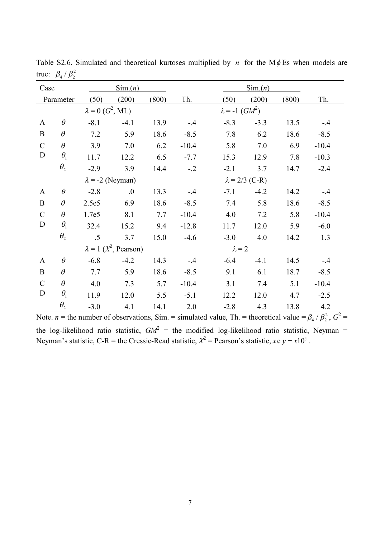| Case          |                                 |                             | $\operatorname{Sim}(n)$          |       |         |                         | $\text{Sim.}(n)$      |       |         |
|---------------|---------------------------------|-----------------------------|----------------------------------|-------|---------|-------------------------|-----------------------|-------|---------|
|               | Parameter                       | (50)                        | (200)                            | (800) | Th.     | (50)                    | (200)                 | (800) | Th.     |
|               |                                 | $\lambda = 0$ ( $G^2$ , ML) |                                  |       |         | $\lambda = -1$ $(GM^2)$ |                       |       |         |
| $\mathbf{A}$  | $\theta$                        | $-8.1$                      | $-4.1$                           | 13.9  | $-4$    | $-8.3$                  | $-3.3$                | 13.5  | $-.4$   |
| $\mathbf B$   | $\theta$                        | 7.2                         | 5.9                              | 18.6  | $-8.5$  | 7.8                     | 6.2                   | 18.6  | $-8.5$  |
| $\mathcal{C}$ | $\theta$                        | 3.9                         | 7.0                              | 6.2   | $-10.4$ | 5.8                     | 7.0                   | 6.9   | $-10.4$ |
| $\mathbf D$   | $\theta_{1}$                    | 11.7                        | 12.2                             | 6.5   | $-7.7$  | 15.3                    | 12.9                  | 7.8   | $-10.3$ |
|               | $\theta_{\scriptscriptstyle 2}$ | $-2.9$                      | 3.9                              | 14.4  | $-.2$   | $-2.1$                  | 3.7                   | 14.7  | $-2.4$  |
|               |                                 | $\lambda$ = -2 (Neyman)     |                                  |       |         |                         | $\lambda = 2/3$ (C-R) |       |         |
| $\mathbf{A}$  | $\theta$                        | $-2.8$                      | .0                               | 13.3  | $-.4$   | $-7.1$                  | $-4.2$                | 14.2  | $-.4$   |
| $\bf{B}$      | $\theta$                        | 2.5e5                       | 6.9                              | 18.6  | $-8.5$  | 7.4                     | 5.8                   | 18.6  | $-8.5$  |
| $\mathbf C$   | $\theta$                        | 1.7e5                       | 8.1                              | 7.7   | $-10.4$ | 4.0                     | 7.2                   | 5.8   | $-10.4$ |
| D             | $\theta_{1}$                    | 32.4                        | 15.2                             | 9.4   | $-12.8$ | 11.7                    | 12.0                  | 5.9   | $-6.0$  |
|               | $\theta_{2}$                    | $\overline{.5}$             | 3.7                              | 15.0  | $-4.6$  | $-3.0$                  | 4.0                   | 14.2  | 1.3     |
|               |                                 |                             | $\lambda = 1$ ( $X^2$ , Pearson) |       |         | $\lambda = 2$           |                       |       |         |
| $\mathbf{A}$  | $\theta$                        | $-6.8$                      | $-4.2$                           | 14.3  | $-.4$   | $-6.4$                  | $-4.1$                | 14.5  | $-.4$   |
| $\bf{B}$      | $\theta$                        | 7.7                         | 5.9                              | 18.6  | $-8.5$  | 9.1                     | 6.1                   | 18.7  | $-8.5$  |
| $\mathcal{C}$ | $\theta$                        | 4.0                         | 7.3                              | 5.7   | $-10.4$ | 3.1                     | 7.4                   | 5.1   | $-10.4$ |
| D             | $\theta_{\rm i}$                | 11.9                        | 12.0                             | 5.5   | $-5.1$  | 12.2                    | 12.0                  | 4.7   | $-2.5$  |
|               | $\theta_{2}$                    | $-3.0$                      | 4.1                              | 14.1  | 2.0     | $-2.8$                  | 4.3                   | 13.8  | 4.2     |

Table S2.6. Simulated and theoretical kurtoses multiplied by *n* for the M $\phi$ Es when models are true:  $\beta_4 / \beta_2^2$ 

Note. *n* = the number of observations, Sim. = simulated value, Th. = theoretical value =  $\beta_4 / \beta_2^2$ ,  $G^2$  = the log-likelihood ratio statistic,  $GM^2$  = the modified log-likelihood ratio statistic, Neyman = Neyman's statistic, C-R = the Cressie-Read statistic,  $X^2$  = Pearson's statistic,  $x e y = x 10^y$ .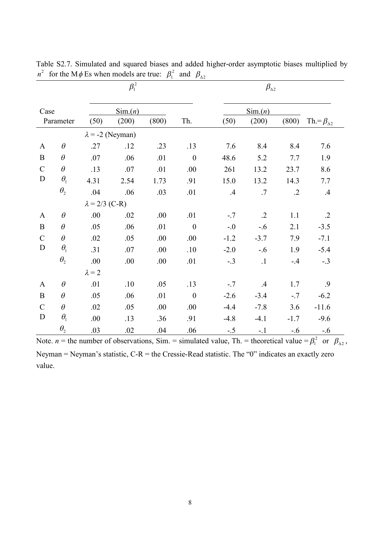|               |                                 |                       | $\beta_{\rm 1}^{\,2}$   |       |                  | $\beta_{\Delta 2}$ |                  |            |                         |
|---------------|---------------------------------|-----------------------|-------------------------|-------|------------------|--------------------|------------------|------------|-------------------------|
| Case          |                                 |                       | $\text{Sim.}(n)$        |       |                  |                    | $\text{Sim.}(n)$ |            |                         |
|               | Parameter                       | (50)                  | (200)                   | (800) | Th.              | (50)               | (200)            | (800)      | Th $=\beta_{\Delta 2}$  |
|               |                                 |                       | $\lambda$ = -2 (Neyman) |       |                  |                    |                  |            |                         |
| $\mathbf{A}$  | $\theta$                        | .27                   | .12                     | .23   | .13              | 7.6                | 8.4              | 8.4        | 7.6                     |
| $\bf{B}$      | $\theta$                        | .07                   | .06                     | .01   | $\boldsymbol{0}$ | 48.6               | 5.2              | 7.7        | 1.9                     |
| $\mathcal{C}$ | $\theta$                        | .13                   | .07                     | .01   | .00.             | 261                | 13.2             | 23.7       | 8.6                     |
| $\mathbf D$   | $\theta_{\rm i}$                | 4.31                  | 2.54                    | 1.73  | .91              | 15.0               | 13.2             | 14.3       | 7.7                     |
|               | $\theta_{\scriptscriptstyle 2}$ | .04                   | .06                     | .03   | .01              | .4                 | .7               | $\cdot$ .2 | $.4\phantom{0}$         |
|               |                                 | $\lambda = 2/3$ (C-R) |                         |       |                  |                    |                  |            |                         |
| $\mathbf{A}$  | $\theta$                        | .00.                  | .02                     | .00   | .01              | $-.7$              | $\cdot$ .2       | 1.1        | $.2\,$                  |
| $\mathbf B$   | $\theta$                        | .05                   | .06                     | .01   | $\boldsymbol{0}$ | $-.0$              | $-.6$            | 2.1        | $-3.5$                  |
| $\mathcal{C}$ | $\theta$                        | .02                   | .05                     | .00.  | .00              | $-1.2$             | $-3.7$           | 7.9        | $-7.1$                  |
| D             | $\theta_{\rm i}$                | .31                   | .07                     | .00.  | .10              | $-2.0$             | $-.6$            | 1.9        | $-5.4$                  |
|               | $\theta_{\scriptscriptstyle 2}$ | .00.                  | .00                     | .00   | .01              | $-.3$              | $\cdot$ 1        | $-.4$      | $-.3$                   |
|               |                                 | $\lambda = 2$         |                         |       |                  |                    |                  |            |                         |
| $\mathbf{A}$  | $\theta$                        | .01                   | .10                     | .05   | .13              | $-.7$              | $.4\,$           | 1.7        | .9                      |
| $\mathbf B$   | $\theta$                        | .05                   | .06                     | .01   | $\boldsymbol{0}$ | $-2.6$             | $-3.4$           | $-.7$      | $-6.2$                  |
| $\mathcal{C}$ | $\theta$                        | .02                   | .05                     | .00   | .00              | $-4.4$             | $-7.8$           | 3.6        | $-11.6$                 |
| D             | $\theta_{\rm i}$                | .00.                  | .13                     | .36   | .91              | $-4.8$             | $-4.1$           | $-1.7$     | $-9.6$                  |
|               | $\theta_{\scriptscriptstyle 2}$ | .03                   | .02                     | .04   | .06              | $-.5$              | $-.1$            | $-.6$      | $-.6$<br>$\overline{a}$ |

Table S2.7. Simulated and squared biases and added higher-order asymptotic biases multiplied by  $n^2$  for the M  $\phi$  Es when models are true:  $\beta_1^2$  and  $\beta_{\Delta 2}$ 

Note. *n* = the number of observations, Sim. = simulated value, Th. = theoretical value =  $\beta_1^2$  or  $\beta_{\Delta 2}$ , Neyman = Neyman's statistic, C-R = the Cressie-Read statistic. The "0" indicates an exactly zero value.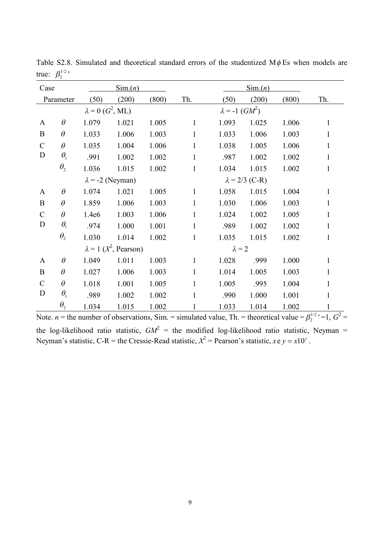| Case          |                       |                             | $\operatorname{Sim}(n)$          |       |              |                                   | $\text{Sim.}(n)$      |       |              |
|---------------|-----------------------|-----------------------------|----------------------------------|-------|--------------|-----------------------------------|-----------------------|-------|--------------|
|               | Parameter             | (50)                        | (200)                            | (800) | Th.          | (50)                              | (200)                 | (800) | Th.          |
|               |                       | $\lambda = 0$ ( $G^2$ , ML) |                                  |       |              | $\lambda = -1$ (GM <sup>2</sup> ) |                       |       |              |
| $\mathbf{A}$  | $\theta$              | 1.079                       | 1.021                            | 1.005 | $\mathbf{1}$ | 1.093                             | 1.025                 | 1.006 | $\mathbf{1}$ |
| B             | $\theta$              | 1.033                       | 1.006                            | 1.003 | 1            | 1.033                             | 1.006                 | 1.003 | $\mathbf{1}$ |
| $\mathcal{C}$ | $\theta$              | 1.035                       | 1.004                            | 1.006 | 1            | 1.038                             | 1.005                 | 1.006 | 1            |
| $\mathbf D$   | $\theta_1$            | .991                        | 1.002                            | 1.002 | 1            | .987                              | 1.002                 | 1.002 | 1            |
|               | $\theta_{2}$          | 1.036                       | 1.015                            | 1.002 | 1            | 1.034                             | 1.015                 | 1.002 | 1            |
|               |                       |                             | $\lambda$ = -2 (Neyman)          |       |              |                                   | $\lambda = 2/3$ (C-R) |       |              |
| $\mathbf{A}$  | $\theta$              | 1.074                       | 1.021                            | 1.005 | $\mathbf{1}$ | 1.058                             | 1.015                 | 1.004 | $\mathbf{1}$ |
| B             | $\theta$              | 1.859                       | 1.006                            | 1.003 | $\mathbf{1}$ | 1.030                             | 1.006                 | 1.003 | 1            |
| $\mathcal{C}$ | $\theta$              | 1.4e6                       | 1.003                            | 1.006 | $\mathbf{1}$ | 1.024                             | 1.002                 | 1.005 | $\mathbf{1}$ |
| D             | $\theta_1$            | .974                        | 1.000                            | 1.001 | $\mathbf{1}$ | .989                              | 1.002                 | 1.002 | $\mathbf{1}$ |
|               | $\theta_{2}$          | 1.030                       | 1.014                            | 1.002 | 1            | 1.035                             | 1.015                 | 1.002 | 1            |
|               |                       |                             | $\lambda = 1$ ( $X^2$ , Pearson) |       |              | $\lambda = 2$                     |                       |       |              |
| $\mathbf{A}$  | $\theta$              | 1.049                       | 1.011                            | 1.003 | 1            | 1.028                             | .999                  | 1.000 | $\mathbf{1}$ |
| B             | $\theta$              | 1.027                       | 1.006                            | 1.003 | 1            | 1.014                             | 1.005                 | 1.003 | 1            |
| $\mathcal{C}$ | $\theta$              | 1.018                       | 1.001                            | 1.005 | 1            | 1.005                             | .995                  | 1.004 | $\mathbf{1}$ |
| D             | $\theta_1$            | .989                        | 1.002                            | 1.002 | $\mathbf{1}$ | .990                              | 1.000                 | 1.001 | $\mathbf{1}$ |
|               | $\theta$ <sub>2</sub> | 1.034                       | 1.015                            | 1.002 | 1            | 1.033                             | 1.014                 | 1.002 | 1            |

Table S2.8. Simulated and theoretical standard errors of the studentized  $M\phi$ Es when models are true:  $\beta_2^{1/2}$ 

Note. *n* = the number of observations, Sim. = simulated value, Th. = theoretical value =  $\beta_2^{1/2}$  '=1,  $G^2$  = the log-likelihood ratio statistic,  $GM^2$  = the modified log-likelihood ratio statistic, Neyman = Neyman's statistic, C-R = the Cressie-Read statistic,  $X^2$  = Pearson's statistic,  $x e y = x 10^y$ .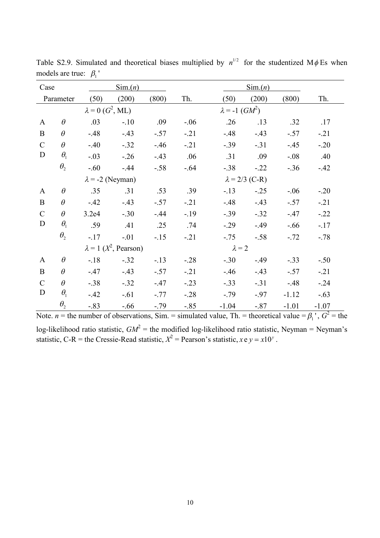| Case          |              |                                     | $\text{Sim.}(n)$                 |        |         |                         | $\text{Sim.}(n)$      |         |         |
|---------------|--------------|-------------------------------------|----------------------------------|--------|---------|-------------------------|-----------------------|---------|---------|
|               | Parameter    | (50)                                | (200)                            | (800)  | Th.     | (50)                    | (200)                 | (800)   | Th.     |
|               |              | $\lambda = 0$ (G <sup>2</sup> , ML) |                                  |        |         | $\lambda = -1$ $(GM^2)$ |                       |         |         |
| $\mathbf{A}$  | $\theta$     | .03                                 | $-.10$                           | .09    | $-.06$  | .26                     | .13                   | .32     | .17     |
| $\bf{B}$      | $\theta$     | $-48$                               | $-43$                            | $-.57$ | $-.21$  | $-48$                   | $-43$                 | $-.57$  | $-.21$  |
| $\mathcal{C}$ | $\theta$     | $-40$                               | $-.32$                           | $-46$  | $-.21$  | $-0.39$                 | $-.31$                | $-45$   | $-.20$  |
| D             | $\theta_1$   | $-.03$                              | $-0.26$                          | $-43$  | .06     | .31                     | .09                   | $-.08$  | .40     |
|               | $\theta_{2}$ | $-.60$                              | $-44$                            | $-.58$ | $-.64$  | $-.38$                  | $-.22$                | $-36$   | $-42$   |
|               |              |                                     | $\lambda$ = -2 (Neyman)          |        |         |                         | $\lambda = 2/3$ (C-R) |         |         |
| $\mathbf{A}$  | $\theta$     | .35                                 | .31                              | .53    | .39     | $-13$                   | $-.25$                | $-.06$  | $-.20$  |
| $\mathbf{B}$  | $\theta$     | $-42$                               | $-.43$                           | $-.57$ | $-.21$  | $-.48$                  | $-43$                 | $-.57$  | $-.21$  |
| $\mathcal{C}$ | $\theta$     | 3.2e4                               | $-.30$                           | $-44$  | $-19$   | $-.39$                  | $-.32$                | $-47$   | $-.22$  |
| D             | $\theta_1$   | .59                                 | .41                              | .25    | .74     | $-0.29$                 | $-49$                 | $-.66$  | $-.17$  |
|               | $\theta_{2}$ | $-.17$                              | $-.01$                           | $-15$  | $-.21$  | $-.75$                  | $-.58$                | $-.72$  | $-.78$  |
|               |              |                                     | $\lambda = 1$ ( $X^2$ , Pearson) |        |         | $\lambda = 2$           |                       |         |         |
| $\mathbf{A}$  | $\theta$     | $-.18$                              | $-.32$                           | $-.13$ | $-.28$  | $-.30$                  | $-49$                 | $-.33$  | $-.50$  |
| $\bf{B}$      | $\theta$     | $-47$                               | $-43$                            | $-.57$ | $-.21$  | $-46$                   | $-43$                 | $-.57$  | $-.21$  |
| $\mathcal{C}$ | $\theta$     | $-.38$                              | $-.32$                           | $-47$  | $-.23$  | $-33$                   | $-.31$                | $-48$   | $-.24$  |
| D             | $\theta_1$   | $-42$                               | $-.61$                           | $-.77$ | $-0.28$ | $-.79$                  | $-.97$                | $-1.12$ | $-.63$  |
|               | $\theta_{2}$ | $-83$                               | $-.66$                           | $-.79$ | $-0.85$ | $-1.04$                 | $-.87$                | $-1.01$ | $-1.07$ |

Table S2.9. Simulated and theoretical biases multiplied by  $n^{1/2}$  for the studentized M $\phi$  Es when models are true:  $\beta_1$ '

Note. *n* = the number of observations, Sim. = simulated value, Th. = theoretical value =  $\beta_1$ <sup>'</sup>,  $G^2$  = the log-likelihood ratio statistic,  $GM^2$  = the modified log-likelihood ratio statistic, Neyman = Neyman's statistic, C-R = the Cressie-Read statistic,  $X^2$  = Pearson's statistic,  $xe y = x10^y$ .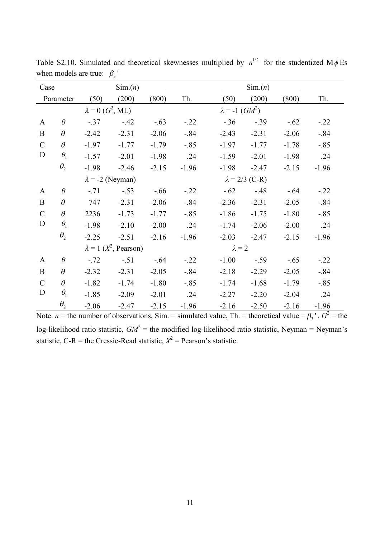| Case          |                  |                             | $\text{Sim.}(n)$                 |         |         |                         | $\text{Sim.}(n)$      |         |         |
|---------------|------------------|-----------------------------|----------------------------------|---------|---------|-------------------------|-----------------------|---------|---------|
|               | Parameter        | (50)                        | (200)                            | (800)   | Th.     | (50)                    | (200)                 | (800)   | Th.     |
|               |                  | $\lambda = 0$ ( $G^2$ , ML) |                                  |         |         | $\lambda = -1$ $(GM^2)$ |                       |         |         |
| $\mathbf{A}$  | $\theta$         | $-.37$                      | $-42$                            | $-.63$  | $-.22$  | $-.36$                  | $-.39$                | $-.62$  | $-.22$  |
| $\bf{B}$      | $\theta$         | $-2.42$                     | $-2.31$                          | $-2.06$ | $-.84$  | $-2.43$                 | $-2.31$               | $-2.06$ | $-.84$  |
| $\mathcal{C}$ | $\theta$         | $-1.97$                     | $-1.77$                          | $-1.79$ | $-.85$  | $-1.97$                 | $-1.77$               | $-1.78$ | $-.85$  |
| $\mathbf D$   | $\theta_1$       | $-1.57$                     | $-2.01$                          | $-1.98$ | .24     | $-1.59$                 | $-2.01$               | $-1.98$ | .24     |
|               | $\theta_{2}$     | $-1.98$                     | $-2.46$                          | $-2.15$ | $-1.96$ | $-1.98$                 | $-2.47$               | $-2.15$ | $-1.96$ |
|               |                  |                             | $\lambda$ = -2 (Neyman)          |         |         |                         | $\lambda = 2/3$ (C-R) |         |         |
| $\mathbf{A}$  | $\theta$         | $-.71$                      | $-.53$                           | $-.66$  | $-.22$  | $-.62$                  | $-48$                 | $-.64$  | $-.22$  |
| $\bf{B}$      | $\theta$         | 747                         | $-2.31$                          | $-2.06$ | $-.84$  | $-2.36$                 | $-2.31$               | $-2.05$ | $-0.84$ |
| $\mathcal{C}$ | $\theta$         | 2236                        | $-1.73$                          | $-1.77$ | $-.85$  | $-1.86$                 | $-1.75$               | $-1.80$ | $-.85$  |
| D             | $\theta_{\rm l}$ | $-1.98$                     | $-2.10$                          | $-2.00$ | .24     | $-1.74$                 | $-2.06$               | $-2.00$ | .24     |
|               | $\theta_{2}$     | $-2.25$                     | $-2.51$                          | $-2.16$ | $-1.96$ | $-2.03$                 | $-2.47$               | $-2.15$ | $-1.96$ |
|               |                  |                             | $\lambda = 1$ ( $X^2$ , Pearson) |         |         | $\lambda = 2$           |                       |         |         |
| $\mathbf{A}$  | $\theta$         | $-.72$                      | $-.51$                           | $-.64$  | $-.22$  | $-1.00$                 | $-.59$                | $-.65$  | $-.22$  |
| B             | $\theta$         | $-2.32$                     | $-2.31$                          | $-2.05$ | $-.84$  | $-2.18$                 | $-2.29$               | $-2.05$ | $-0.84$ |
| $\mathcal{C}$ | $\theta$         | $-1.82$                     | $-1.74$                          | $-1.80$ | $-.85$  | $-1.74$                 | $-1.68$               | $-1.79$ | $-.85$  |
| D             | $\theta_{\rm i}$ | $-1.85$                     | $-2.09$                          | $-2.01$ | .24     | $-2.27$                 | $-2.20$               | $-2.04$ | .24     |
|               | $\theta_{2}$     | $-2.06$                     | $-2.47$                          | $-2.15$ | $-1.96$ | $-2.16$                 | $-2.50$               | $-2.16$ | $-1.96$ |

Table S2.10. Simulated and theoretical skewnesses multiplied by  $n^{1/2}$  for the studentized M $\phi$  Es when models are true:  $\beta_3$ '

Note. *n* = the number of observations, Sim. = simulated value, Th. = theoretical value =  $\beta_3$ <sup>'</sup>,  $G^2$  = the log-likelihood ratio statistic,  $GM^2$  = the modified log-likelihood ratio statistic, Neyman = Neyman's statistic, C-R = the Cressie-Read statistic,  $X^2$  = Pearson's statistic.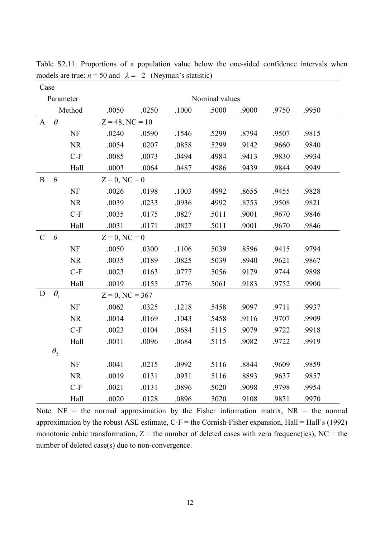|               | Case         |           |                    |       |       |                |       |       |       |
|---------------|--------------|-----------|--------------------|-------|-------|----------------|-------|-------|-------|
|               | Parameter    |           |                    |       |       | Nominal values |       |       |       |
|               |              | Method    | .0050              | .0250 | .1000 | .5000          | .9000 | .9750 | .9950 |
| $\mathbf{A}$  | $\theta$     |           | $Z = 48$ , NC = 10 |       |       |                |       |       |       |
|               |              | NF        | .0240              | .0590 | .1546 | .5299          | .8794 | .9507 | .9815 |
|               |              | NR        | .0054              | .0207 | .0858 | .5299          | .9142 | .9660 | .9840 |
|               |              | $C-F$     | .0085              | .0073 | .0494 | .4984          | .9413 | .9830 | .9934 |
|               |              | Hall      | .0003              | .0064 | .0487 | .4986          | .9439 | .9844 | .9949 |
| B             | $\theta$     |           | $Z = 0$ , NC = 0   |       |       |                |       |       |       |
|               |              | <b>NF</b> | .0026              | .0198 | .1003 | .4992          | .8655 | .9455 | .9828 |
|               |              | <b>NR</b> | .0039              | .0233 | .0936 | .4992          | .8753 | .9508 | .9821 |
|               |              | $C-F$     | .0035              | .0175 | .0827 | .5011          | .9001 | .9670 | .9846 |
|               |              | Hall      | .0031              | .0171 | .0827 | .5011          | .9001 | .9670 | .9846 |
| $\mathcal{C}$ | $\theta$     |           | $Z = 0$ , NC = 0   |       |       |                |       |       |       |
|               |              | <b>NF</b> | .0050              | .0300 | .1106 | .5039          | .8596 | .9415 | .9794 |
|               |              | NR        | .0035              | .0189 | .0825 | .5039          | .8940 | .9621 | .9867 |
|               |              | $C-F$     | .0023              | .0163 | .0777 | .5056          | .9179 | .9744 | .9898 |
|               |              | Hall      | .0019              | .0155 | .0776 | .5061          | .9183 | .9752 | .9900 |
| D             | $\theta_1$   |           | $Z = 0$ , NC = 367 |       |       |                |       |       |       |
|               |              | <b>NF</b> | .0062              | .0325 | .1218 | .5458          | .9097 | .9711 | .9937 |
|               |              | <b>NR</b> | .0014              | .0169 | .1043 | .5458          | .9116 | .9707 | .9909 |
|               |              | $C-F$     | .0023              | .0104 | .0684 | .5115          | .9079 | .9722 | .9918 |
|               |              | Hall      | .0011              | .0096 | .0684 | .5115          | .9082 | .9722 | .9919 |
|               | $\theta_{2}$ |           |                    |       |       |                |       |       |       |
|               |              | <b>NF</b> | .0041              | .0215 | .0992 | .5116          | .8844 | .9609 | .9859 |
|               |              | <b>NR</b> | .0019              | .0131 | .0931 | .5116          | .8893 | .9637 | .9857 |
|               |              | $C-F$     | .0021              | .0131 | .0896 | .5020          | .9098 | .9798 | .9954 |
|               |              | Hall      | .0020              | .0128 | .0896 | .5020          | .9108 | .9831 | .9970 |

Table S2.11. Proportions of a population value below the one-sided confidence intervals when models are true:  $n = 50$  and  $\lambda = -2$  (Neyman's statistic)

Note. NF = the normal approximation by the Fisher information matrix,  $NR =$  the normal approximation by the robust ASE estimate,  $C-F =$  the Cornish-Fisher expansion, Hall = Hall's (1992) monotonic cubic transformation,  $Z =$  the number of deleted cases with zero frequenc(ies),  $NC =$  the number of deleted case(s) due to non-convergence.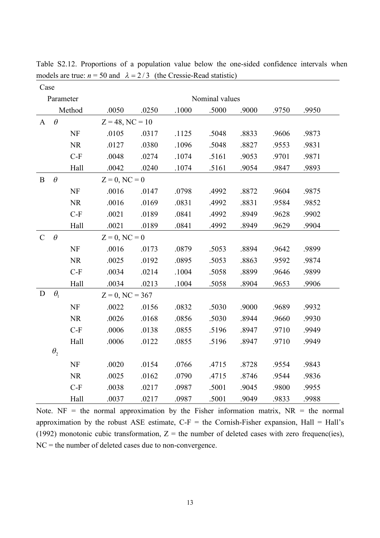| Case          |              |           |                    |                    |       |       |       |       |       |  |  |  |
|---------------|--------------|-----------|--------------------|--------------------|-------|-------|-------|-------|-------|--|--|--|
|               | Parameter    |           | Nominal values     |                    |       |       |       |       |       |  |  |  |
|               |              | Method    | .0050              | .0250              | .1000 | .5000 | .9000 | .9750 | .9950 |  |  |  |
| $\mathbf{A}$  | $\theta$     |           |                    | $Z = 48$ , NC = 10 |       |       |       |       |       |  |  |  |
|               |              | <b>NF</b> | .0105              | .0317              | .1125 | .5048 | .8833 | .9606 | .9873 |  |  |  |
|               |              | <b>NR</b> | .0127              | .0380              | .1096 | .5048 | .8827 | .9553 | .9831 |  |  |  |
|               |              | $C-F$     | .0048              | .0274              | .1074 | .5161 | .9053 | .9701 | .9871 |  |  |  |
|               |              | Hall      | .0042              | .0240              | .1074 | .5161 | .9054 | .9847 | .9893 |  |  |  |
| B             | $\theta$     |           | $Z = 0$ , NC = 0   |                    |       |       |       |       |       |  |  |  |
|               |              | NF        | .0016              | .0147              | .0798 | .4992 | .8872 | .9604 | .9875 |  |  |  |
|               |              | <b>NR</b> | .0016              | .0169              | .0831 | .4992 | .8831 | .9584 | .9852 |  |  |  |
|               |              | $C-F$     | .0021              | .0189              | .0841 | .4992 | .8949 | .9628 | .9902 |  |  |  |
|               |              | Hall      | .0021              | .0189              | .0841 | .4992 | .8949 | .9629 | .9904 |  |  |  |
| $\mathcal{C}$ | $\theta$     |           | $Z = 0$ , NC = 0   |                    |       |       |       |       |       |  |  |  |
|               |              | NF        | .0016              | .0173              | .0879 | .5053 | .8894 | .9642 | .9899 |  |  |  |
|               |              | <b>NR</b> | .0025              | .0192              | .0895 | .5053 | .8863 | .9592 | .9874 |  |  |  |
|               |              | $C-F$     | .0034              | .0214              | .1004 | .5058 | .8899 | .9646 | .9899 |  |  |  |
|               |              | Hall      | .0034              | .0213              | .1004 | .5058 | .8904 | .9653 | .9906 |  |  |  |
| D             | $\theta_1$   |           | $Z = 0$ , NC = 367 |                    |       |       |       |       |       |  |  |  |
|               |              | NF        | .0022              | .0156              | .0832 | .5030 | .9000 | .9689 | .9932 |  |  |  |
|               |              | <b>NR</b> | .0026              | .0168              | .0856 | .5030 | .8944 | .9660 | .9930 |  |  |  |
|               |              | $C-F$     | .0006              | .0138              | .0855 | .5196 | .8947 | .9710 | .9949 |  |  |  |
|               |              | Hall      | .0006              | .0122              | .0855 | .5196 | .8947 | .9710 | .9949 |  |  |  |
|               | $\theta_{2}$ |           |                    |                    |       |       |       |       |       |  |  |  |
|               |              | NF        | .0020              | .0154              | .0766 | .4715 | .8728 | .9554 | .9843 |  |  |  |
|               |              | <b>NR</b> | .0025              | .0162              | .0790 | .4715 | .8746 | .9544 | .9836 |  |  |  |
|               |              | $C-F$     | .0038              | .0217              | .0987 | .5001 | .9045 | .9800 | .9955 |  |  |  |
|               |              | Hall      | .0037              | .0217              | .0987 | .5001 | .9049 | .9833 | .9988 |  |  |  |

Table S2.12. Proportions of a population value below the one-sided confidence intervals when models are true:  $n = 50$  and  $\lambda = 2/3$  (the Cressie-Read statistic)

Note. NF = the normal approximation by the Fisher information matrix,  $NR =$  the normal approximation by the robust ASE estimate,  $C-F =$  the Cornish-Fisher expansion, Hall = Hall's (1992) monotonic cubic transformation,  $Z =$  the number of deleted cases with zero frequenc(ies), NC = the number of deleted cases due to non-convergence.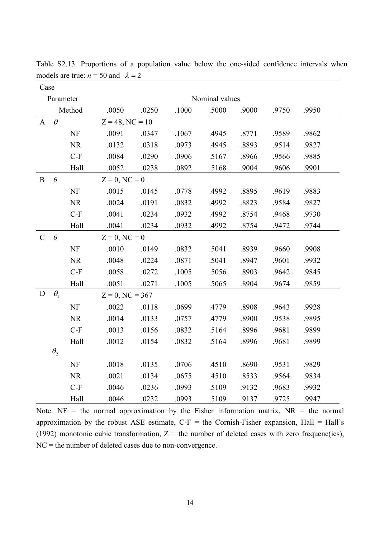| Case          |              |           |                    |       |       |       |       |       |       |  |  |  |
|---------------|--------------|-----------|--------------------|-------|-------|-------|-------|-------|-------|--|--|--|
|               | Parameter    |           | Nominal values     |       |       |       |       |       |       |  |  |  |
|               |              | Method    | .0050              | .0250 | .1000 | .5000 | .9000 | .9750 | .9950 |  |  |  |
| A             | $\theta$     |           | $Z = 48$ , NC = 10 |       |       |       |       |       |       |  |  |  |
|               |              | <b>NF</b> | .0091              | .0347 | .1067 | .4945 | .8771 | .9589 | .9862 |  |  |  |
|               |              | <b>NR</b> | .0132              | .0318 | .0973 | .4945 | .8893 | .9514 | .9827 |  |  |  |
|               |              | $C-F$     | .0084              | .0290 | .0906 | .5167 | .8966 | .9566 | .9885 |  |  |  |
|               |              | Hall      | .0052              | .0238 | .0892 | .5168 | .9004 | .9606 | .9901 |  |  |  |
| $\mathbf{B}$  | $\theta$     |           | $Z = 0$ , NC = 0   |       |       |       |       |       |       |  |  |  |
|               |              | <b>NF</b> | .0015              | .0145 | .0778 | .4992 | .8895 | .9619 | .9883 |  |  |  |
|               |              | <b>NR</b> | .0024              | .0191 | .0832 | .4992 | .8823 | .9584 | .9827 |  |  |  |
|               |              | $C-F$     | .0041              | .0234 | .0932 | .4992 | .8754 | .9468 | .9730 |  |  |  |
|               |              | Hall      | .0041              | .0234 | .0932 | .4992 | .8754 | .9472 | .9744 |  |  |  |
| $\mathcal{C}$ | $\theta$     |           | $Z = 0$ , NC = 0   |       |       |       |       |       |       |  |  |  |
|               |              | NF        | .0010              | .0149 | .0832 | .5041 | .8939 | .9660 | .9908 |  |  |  |
|               |              | <b>NR</b> | .0048              | .0224 | .0871 | .5041 | .8947 | .9601 | .9932 |  |  |  |
|               |              | $C-F$     | .0058              | .0272 | .1005 | .5056 | .8903 | .9642 | .9845 |  |  |  |
|               |              | Hall      | .0051              | .0271 | .1005 | .5065 | .8904 | .9674 | .9859 |  |  |  |
| D             | $\theta_1$   |           | $Z = 0$ , NC = 367 |       |       |       |       |       |       |  |  |  |
|               |              | <b>NF</b> | .0022              | .0118 | .0699 | .4779 | .8908 | .9643 | .9928 |  |  |  |
|               |              | <b>NR</b> | .0014              | .0133 | .0757 | .4779 | .8900 | .9538 | .9895 |  |  |  |
|               |              | $C-F$     | .0013              | .0156 | .0832 | .5164 | .8996 | .9681 | .9899 |  |  |  |
|               |              | Hall      | .0012              | .0154 | .0832 | .5164 | .8996 | .9681 | .9899 |  |  |  |
|               | $\theta_{2}$ |           |                    |       |       |       |       |       |       |  |  |  |
|               |              | <b>NF</b> | .0018              | .0135 | .0706 | .4510 | .8690 | .9531 | .9829 |  |  |  |
|               |              | <b>NR</b> | .0021              | .0134 | .0675 | .4510 | .8533 | .9564 | .9834 |  |  |  |
|               |              | $C-F$     | .0046              | .0236 | .0993 | .5109 | .9132 | .9683 | .9932 |  |  |  |
|               |              | Hall      | .0046              | .0232 | .0993 | .5109 | .9137 | .9725 | .9947 |  |  |  |

Table S2.13. Proportions of a population value below the one-sided confidence intervals when models are true:  $n = 50$  and  $\lambda = 2$ 

Note. NF = the normal approximation by the Fisher information matrix,  $NR =$  the normal approximation by the robust ASE estimate,  $C-F =$  the Cornish-Fisher expansion, Hall = Hall's (1992) monotonic cubic transformation,  $Z =$  the number of deleted cases with zero frequenc(ies), NC = the number of deleted cases due to non-convergence.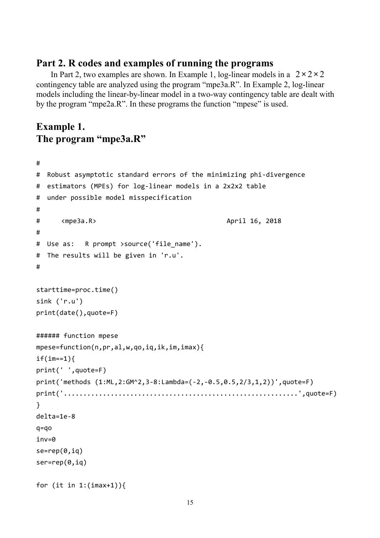#### **Part 2. R codes and examples of running the programs**

In Part 2, two examples are shown. In Example 1,  $\log$ -linear models in a  $2 \times 2 \times 2$ contingency table are analyzed using the program "mpe3a.R". In Example 2, log-linear models including the linear-by-linear model in a two-way contingency table are dealt with by the program "mpe2a.R". In these programs the function "mpese" is used.

### **Example 1. The program "mpe3a.R"**

```
#
# Robust asymptotic standard errors of the minimizing phi-divergence
# estimators (MPEs) for log-linear models in a 2x2x2 table
# under possible model misspecification
#
# <mpe3a.R> April 16, 2018
#
# Use as: R prompt >source('file name').
# The results will be given in 'r.u'.
#
starttime=proc.time()
sink ('r.u')
print(date(),quote=F)
###### function mpese
mpese=function(n,pr,al,w,qo,iq,ik,im,imax){
if(im==1){print(' ',quote=F)
print('methods (1:ML,2:GM^2,3-8:Lambda=(-2,-0.5,0.5,2/3,1,2))',quote=F)
print('............................................................',quote=F)
}
delta=1e-8
q=qo
inv=0
se=rep(0,iq)
ser=rep(0,iq)
for (it in 1:(imax+1)){
```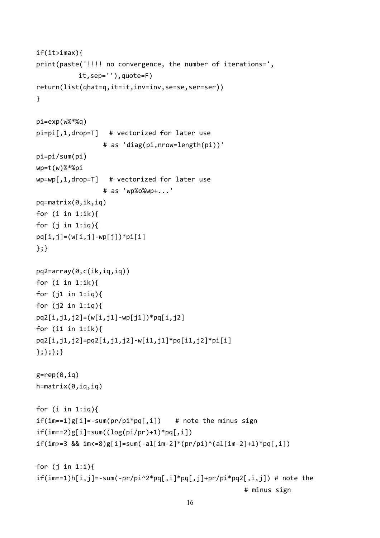```
if(it>imax){
print(paste('!!!! no convergence, the number of iterations=',
           it,sep=''),quote=F)
return(list(qhat=q,it=it,inv=inv,se=se,ser=ser))
}
pi=exp(w%*%q)
pi=pi[,1,drop=T] # vectorized for later use
                 # as 'diag(pi,nrow=length(pi))'
pi=pi/sum(pi)
wp=t(w)%*%pi
wp=wp[,1,drop=T] # vectorized for later use
                 # as 'wp%o%wp+...'
pq=matrix(0,ik,iq)
for (i in 1:ik){
for (j in 1:iq){
pq[i,j]=(w[i,j]-wp[j]) * pi[i]};}
pq2=array(0,c(ik,iq,iq))
for (i in 1:ik){
for (j1 in 1:iq){
for (j2 \text{ in } 1:iq){
pq2[i,j1,j2]=(w[i,j1]-wp[j1])*pq[i,j2]
for (i1 in 1:ik){
pq2[i,j1,j2]=pq2[i,j1,j2]-w[i1,j1]*pq[i1,j2]*pi[i]
};};};}
g=rep(0,iq)h=matrix(0,iq,iq)
for (i in 1:iq){
if(im==1)g[i]=-sum(pr/pi*pq[,i]) # note the minus sign
if(im==2)g[i]=sum((log(pi/pr)+1)*pq[,i])if(im>=3 88 im<=8)g[i]=sum(-al[im-2]*(pr/pi)^{(al[im-2]+1)*pq[,i])for (j in 1:i){
if(im==1)h[i,j]=-sum(-pr/pi^2*pq[j,i]*pq[j,j]+pr/pi*pq2[j,ij])# note the
                                                      # minus sign
```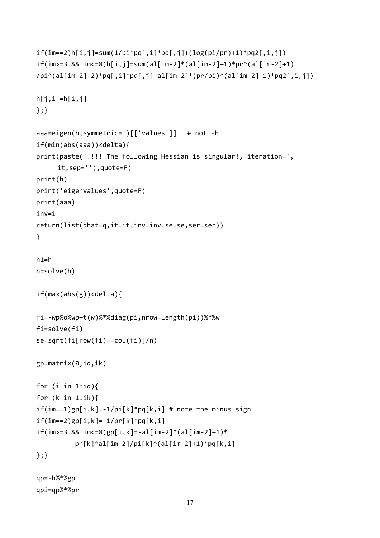```
if(im==2)h[i,j]=sum(1/pi*pq[,i]*pq[,j]+(log(pi/pr)+1)*pq2[,i,j])
if(im>=3 && im<=8)h[i,j]=sum(al[im-2]*(al[im-2]+1)*pr^(al[im-2]+1)\pi<sup>2</sup>] /pi^(al[im-2]+2)*pq[,i]*pq[,j]-al[im-2]*(pr/pi)^(al[im-2]+1)*pq2[,i,j])
h[j,i]=h[i,j]};}
aaa=eigen(h,symmetric=T)[['values']] # not -h
if(min(abs(aaa))<delta){
print(paste('!!!! The following Hessian is singular!, iteration=',
     it,sep=''),quote=F)
print(h)
print('eigenvalues',quote=F)
print(aaa)
inv=1
return(list(qhat=q,it=it,inv=inv,se=se,ser=ser))
}
h1=hh=solve(h)
if(max(abs(g))<delta){
fi=-wp%o%wp+t(w)%*%diag(pi,nrow=length(pi))%*%w
fi=solve(fi)
se=sqrt(fi[row(fi)==col(fi)]/n)
gp = matrix(0, iq, ik)for (i in 1:iq){
for (k in 1:ik){
if(im==1)gp[i,k]=-1/pi[k]*pq[k,i] # note the minus signif(im==2)gp[i,k]=-1/pr[k]*pq[k,i]if(im>=3 && im<=8)gp[i,k]=-a1(im-2]*(a1(im-2]+1)*pr[k]^aal[im-2]/pi[k]^(al[im-2]+1)*pq[k,i]
};}
```

```
qp=-h%*%gp
qpi=qp%*%pr
```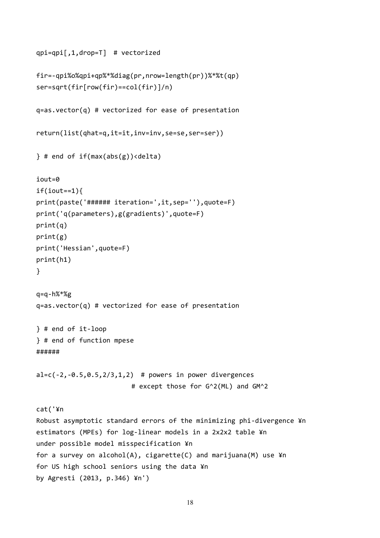```
qpi=qpi[,1,drop=T] # vectorized
fir=-qpi%o%qpi+qp%*%diag(pr,nrow=length(pr))%*%t(qp)
ser=sqrt(fir[row(fir)==col(fir)]/n)
q=as.vector(q) # vectorized for ease of presentation
return(list(qhat=q,it=it,inv=inv,se=se,ser=ser))
} # end of if(max(abs(g))<delta)
iout=0
if(iout==1)print(paste('###### iteration=',it,sep=''),quote=F)
print('q(parameters),g(gradients)',quote=F)
print(q)
print(g)
print('Hessian',quote=F)
print(h1)
}
q = q - h%*%g
q=as.vector(q) # vectorized for ease of presentation
} # end of it-loop
} # end of function mpese
######
al=c(-2, -0.5, 0.5, 2/3, 1, 2) # powers in power divergences
                        # except those for G^2(ML) and GM^2
cat('¥n
Robust asymptotic standard errors of the minimizing phi-divergence ¥n
estimators (MPEs) for log-linear models in a 2x2x2 table ¥n
under possible model misspecification ¥n
for a survey on alcohol(A), cigarette(C) and marijuana(M) use ¥n
for US high school seniors using the data ¥n
by Agresti (2013, p.346) ¥n')
```

```
18
```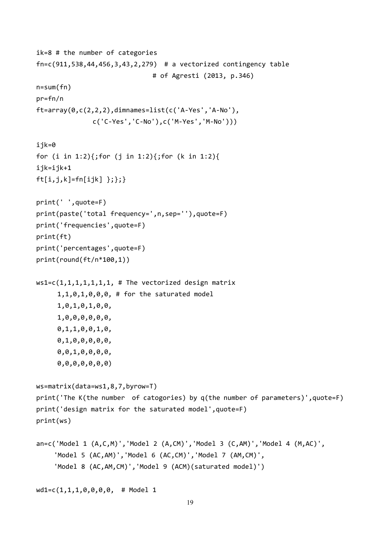```
ik=8 # the number of categories
fn=c(911,538,44,456,3,43,2,279) # a vectorized contingency table
                              # of Agresti (2013, p.346)
n=sum(fn)
pr=fn/n
ft=array(0,c(2,2,2),dimnames=list(c('A-Yes','A-No'),
              c('C-Yes','C-No'),c('M-Yes','M-No')))
ijk=0
for (i in 1:2){;for (j in 1:2){;for (k in 1:2){
ijk=ijk+1
ft[i,j,k]=fn[ijk] }; }; }
print(' ',quote=F)
print(paste('total frequency=',n,sep=''),quote=F)
print('frequencies',quote=F)
print(ft)
print('percentages',quote=F)
print(round(ft/n*100,1))
ws1=c(1,1,1,1,1,1,1, 1, # The vectorized design matrix
     1,1,0,1,0,0,0, # for the saturated model
     1,0,1,0,1,0,0,
     1,0,0,0,0,0,0,
     0,1,1,0,0,1,0,
     0,1,0,0,0,0,0,
     0,0,1,0,0,0,0,
     0,0,0,0,0,0,0)
ws=matrix(data=ws1,8,7,byrow=T)
print('The K(the number of catogories) by q(the number of parameters)',quote=F)
print('design matrix for the saturated model',quote=F)
print(ws)
an=c('Model 1 (A,C,M)','Model 2 (A,CM)','Model 3 (C,AM)','Model 4 (M,AC)',
    'Model 5 (AC,AM)','Model 6 (AC,CM)','Model 7 (AM,CM)',
    'Model 8 (AC,AM,CM)','Model 9 (ACM)(saturated model)')
wd1=c(1,1,1,0,0,0,0, # Model 1
```

```
19
```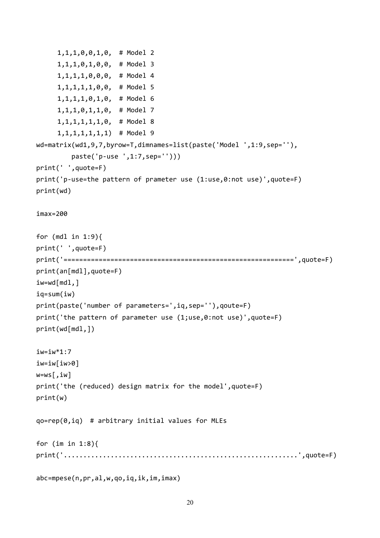```
1,1,1,0,0,1,0, # Model 2
     1,1,1,0,1,0,0, # Model 3
     1,1,1,1,0,0,0, # Model 4
     1,1,1,1,1,0,0, # Model 5
     1,1,1,1,0,1,0, # Model 6
     1,1,1,0,1,1,0, # Model 7
     1,1,1,1,1,1,0, # Model 8
     1,1,1,1,1,1,1) # Model 9
wd=matrix(wd1,9,7,byrow=T,dimnames=list(paste('Model ',1:9,sep=''),
         paste('p-use ',1:7,sep='')))
print(' ',quote=F)
print('p-use=the pattern of prameter use (1:use,0:not use)',quote=F)
print(wd)
imax=200
for (mdl in 1:9){
print(' ',quote=F)
print('===========================================================',quote=F)
print(an[mdl],quote=F)
iw=wd[mdl,]
iq=sum(iw)
print(paste('number of parameters=',iq,sep=''),qoute=F)
print('the pattern of parameter use (1;use,0:not use)',quote=F)
print(wd[mdl,])
iw=iw*1:7iw=iw[iw>0]
w=ws[,iw]
print('the (reduced) design matrix for the model',quote=F)
print(w)
qo=rep(0,iq) # arbitrary initial values for MLEs
for (im in 1:8){
print('............................................................',quote=F)
abc=mpese(n,pr,al,w,qo,iq,ik,im,imax)
```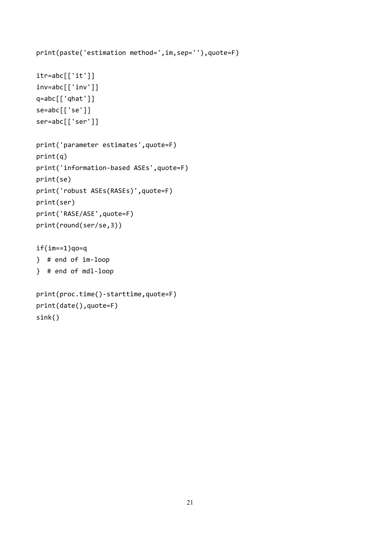```
print(paste('estimation method=',im,sep=''),quote=F)
itr=abc[['it']]
inv=abc[['inv']]
q=abc[['qhat']]
se=abc[['se']]
ser=abc[['ser']]
print('parameter estimates',quote=F)
print(q)
print('information-based ASEs',quote=F)
print(se)
print('robust ASEs(RASEs)',quote=F)
print(ser)
print('RASE/ASE',quote=F)
print(round(ser/se,3))
if(im==1)q0=q} # end of im-loop
} # end of mdl-loop
print(proc.time()-starttime,quote=F)
print(date(),quote=F)
sink()
```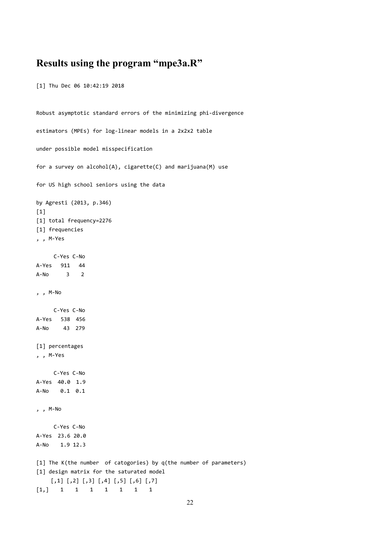### **Results using the program "mpe3a.R"**

[1] Thu Dec 06 10:42:19 2018

```
Robust asymptotic standard errors of the minimizing phi-divergence
estimators (MPEs) for log-linear models in a 2x2x2 table
under possible model misspecification
for a survey on alcohol(A), cigarette(C) and marijuana(M) use
for US high school seniors using the data
by Agresti (2013, p.346)
[1]
[1] total frequency=2276
[1] frequencies
, , M-Yes
     C-Yes C-No
A-Yes 911 44
A-No 3 2
, , M-No
    C-Yes C-No
A-Yes 538 456
A-No 43 279
[1] percentages
, , M-Yes
    C-Yes C-No
A-Yes 40.0 1.9
A-No 0.1 0.1
, , M-No
     C-Yes C-No
A-Yes 23.6 20.0
A-No 1.9 12.3
[1] The K(the number of catogories) by q(the number of parameters)
[1] design matrix for the saturated model
    [,1] [,2] [,3] [,4] [,5] [,6] [,7]
[1,] 1 1 1 1 1 1 1
```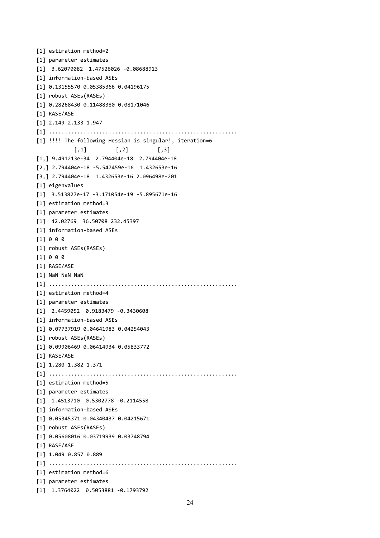```
[1] estimation method=2
[1] parameter estimates
[1] 3.62070082 1.47526026 -0.08688913
[1] information-based ASEs
[1] 0.13155570 0.05385366 0.04196175
[1] robust ASEs(RASEs)
[1] 0.28268430 0.11488380 0.08171046
[1] RASE/ASE
[1] 2.149 2.133 1.947
[1] ............................................................
[1] !!!! The following Hessian is singular!, iteration=6
            [,1] [,2] [,3]
[1,] 9.491213e-34 2.794404e-18 2.794404e-18
[2,] 2.794404e-18 -5.547459e-16 1.432653e-16
[3,] 2.794404e-18 1.432653e-16 2.096498e-201
[1] eigenvalues
[1] 3.513827e-17 -3.171054e-19 -5.895671e-16
[1] estimation method=3
[1] parameter estimates
[1] 42.02769 36.50708 232.45397
[1] information-based ASEs
[1] 0 0 0
[1] robust ASEs(RASEs)
[1] 0 0 0
[1] RASE/ASE
[1] NaN NaN NaN
[1] ............................................................
[1] estimation method=4
[1] parameter estimates
[1] 2.4459052 0.9183479 -0.3430608
[1] information-based ASEs
[1] 0.07737919 0.04641983 0.04254043
[1] robust ASEs(RASEs)
[1] 0.09906469 0.06414934 0.05833772
[1] RASE/ASE
[1] 1.280 1.382 1.371
[1] ............................................................
[1] estimation method=5
[1] parameter estimates
[1] 1.4513710 0.5302778 -0.2114558
[1] information-based ASEs
[1] 0.05345371 0.04340437 0.04215671
[1] robust ASEs(RASEs)
[1] 0.05608016 0.03719939 0.03748794
[1] RASE/ASE
[1] 1.049 0.857 0.889
[1] ............................................................
[1] estimation method=6
[1] parameter estimates
[1] 1.3764022 0.5053881 -0.1793792
```

```
24
```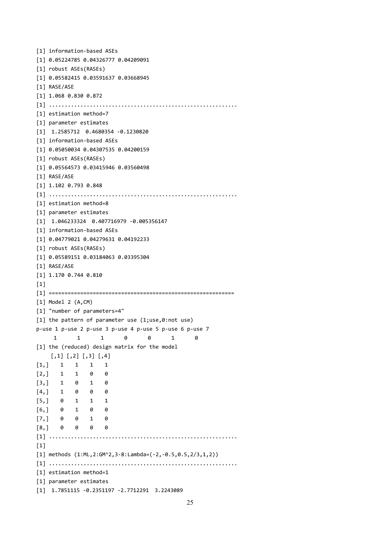```
[1] information-based ASEs
[1] 0.05224785 0.04326777 0.04209091
[1] robust ASEs(RASEs)
[1] 0.05582415 0.03591637 0.03668945
[1] RASE/ASE
[1] 1.068 0.830 0.872
[1] ............................................................
[1] estimation method=7
[1] parameter estimates
[1] 1.2585712 0.4680354 -0.1230820
[1] information-based ASEs
[1] 0.05050034 0.04307535 0.04200159
[1] robust ASEs(RASEs)
[1] 0.05564573 0.03415946 0.03560498
[1] RASE/ASE
[1] 1.102 0.793 0.848
[1] ............................................................
[1] estimation method=8
[1] parameter estimates
[1] 1.046233324 0.407716979 -0.005356147
[1] information-based ASEs
[1] 0.04779021 0.04279631 0.04192233
[1] robust ASEs(RASEs)
[1] 0.05589151 0.03184063 0.03395304
[1] RASE/ASE
[1] 1.170 0.744 0.810
[1][1] ===========================================================
[1] Model 2 (A,CM)
[1] "number of parameters=4"
[1] the pattern of parameter use (1;use,0:not use)
p-use 1 p-use 2 p-use 3 p-use 4 p-use 5 p-use 6 p-use 7
     1 1 1 0 0 1 0
[1] the (reduced) design matrix for the model
    [,1] [,2] [,3] [,4]
[1,] 1 1 1 1
[2,] 1 1 0 0
[3,] 1 0 1 0
[4,] 1 0 0 0
[5,] 0 1 1 1
[6,] 0 1 0 0
[7,] 0 0 1 0
[8,] 0 0 0 0
[1] ............................................................
[1][1] methods (1:ML,2:GM^2,3-8:Lambda=(-2,-0.5,0.5,2/3,1,2))
[1] ............................................................
[1] estimation method=1
[1] parameter estimates
[1] 1.7851115 -0.2351197 -2.7712291 3.2243089
```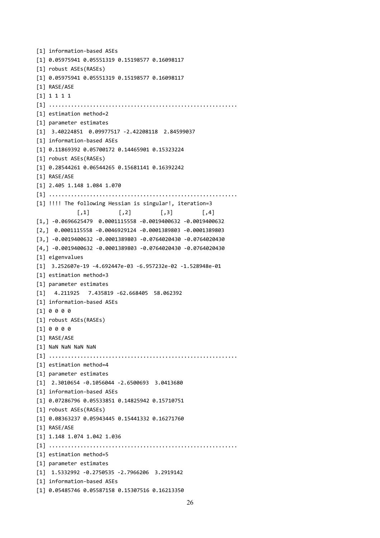```
[1] information-based ASEs
[1] 0.05975941 0.05551319 0.15198577 0.16098117
[1] robust ASEs(RASEs)
[1] 0.05975941 0.05551319 0.15198577 0.16098117
[1] RASE/ASE
[1] 1 1 1 1
[1] ............................................................
[1] estimation method=2
[1] parameter estimates
[1] 3.40224851 0.09977517 -2.42208118 2.84599037
[1] information-based ASEs
[1] 0.11869392 0.05700172 0.14465901 0.15323224
[1] robust ASEs(RASEs)
[1] 0.28544261 0.06544265 0.15681141 0.16392242
[1] RASE/ASE
[1] 2.405 1.148 1.084 1.070
[1] ............................................................
[1] !!!! The following Hessian is singular!, iteration=3
             [,1] [,2] [,3] [,4]
[1,] -0.0696625479 0.0001115558 -0.0019400632 -0.0019400632
[2,] 0.0001115558 -0.0046929124 -0.0001389803 -0.0001389803
[3,] -0.0019400632 -0.0001389803 -0.0764020430 -0.0764020430
[4,] -0.0019400632 -0.0001389803 -0.0764020430 -0.0764020430
[1] eigenvalues
[1] 3.252607e-19 -4.692447e-03 -6.957232e-02 -1.528948e-01
[1] estimation method=3
[1] parameter estimates
[1] 4.211925 7.435819 -62.668405 58.062392
[1] information-based ASEs
[1] 0 0 0 0
[1] robust ASEs(RASEs)
[1] 0 0 0 0
[1] RASE/ASE
[1] NaN NaN NaN NaN
[1] ............................................................
[1] estimation method=4
[1] parameter estimates
[1] 2.3010654 -0.1056044 -2.6500693 3.0413680
[1] information-based ASEs
[1] 0.07286796 0.05533851 0.14825942 0.15710751
[1] robust ASEs(RASEs)
[1] 0.08363237 0.05943445 0.15441332 0.16271760
[1] RASE/ASE
[1] 1.148 1.074 1.042 1.036
[1] ............................................................
[1] estimation method=5
[1] parameter estimates
[1] 1.5332992 -0.2750535 -2.7966206 3.2919142
[1] information-based ASEs
[1] 0.05485746 0.05587158 0.15307516 0.16213350
```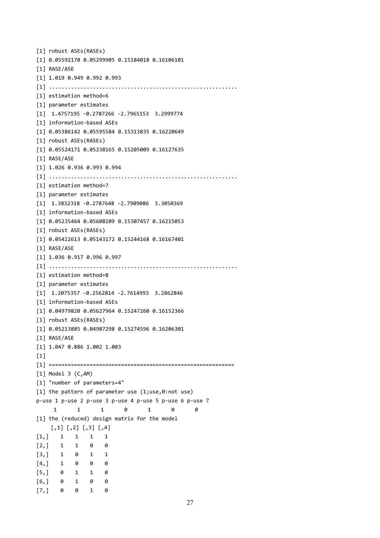```
[1] robust ASEs(RASEs)
[1] 0.05592170 0.05299905 0.15184018 0.16106101
[1] RASE/ASE
[1] 1.019 0.949 0.992 0.993
[1] ............................................................
[1] estimation method=6
[1] parameter estimates
[1] 1.4757195 -0.2787266 -2.7965153 3.2999774
[1] information-based ASEs
[1] 0.05386142 0.05595584 0.15313835 0.16220649
[1] robust ASEs(RASEs)
[1] 0.05524171 0.05238165 0.15205009 0.16127635
[1] RASE/ASE
[1] 1.026 0.936 0.993 0.994
[1] ............................................................
[1] estimation method=7
[1] parameter estimates
[1] 1.3832318 -0.2787648 -2.7909086 3.3050369
[1] information-based ASEs
[1] 0.05235464 0.05608109 0.15307457 0.16215053
[1] robust ASEs(RASEs)
[1] 0.05422613 0.05143172 0.15244168 0.16167401
[1] RASE/ASE
[1] 1.036 0.917 0.996 0.997
[1] ............................................................
[1] estimation method=8
[1] parameter estimates
[1] 1.2075357 -0.2562814 -2.7614993 3.2862846
[1] information-based ASEs
[1] 0.04979820 0.05627964 0.15247260 0.16152366
[1] robust ASEs(RASEs)
[1] 0.05213885 0.04987298 0.15274596 0.16206301
[1] RASE/ASE
[1] 1.047 0.886 1.002 1.003
[1][1] ===========================================================
[1] Model 3 (C,AM)
[1] "number of parameters=4"
[1] the pattern of parameter use (1;use,0:not use)
p-use 1 p-use 2 p-use 3 p-use 4 p-use 5 p-use 6 p-use 7
     1 1 1 0 1 0 0
[1] the (reduced) design matrix for the model
    [,1] [,2] [,3] [,4]
[1,] 1 1 1 1
[2, 1 \ 1 \ 1 \ 0 \ 0[3,] 1 0 1 1
[4,] 1 0 0 0
[5,] 0 1 1 0
[6,] 0 1 0 0
[7,] 0 0 1 0
```

```
27
```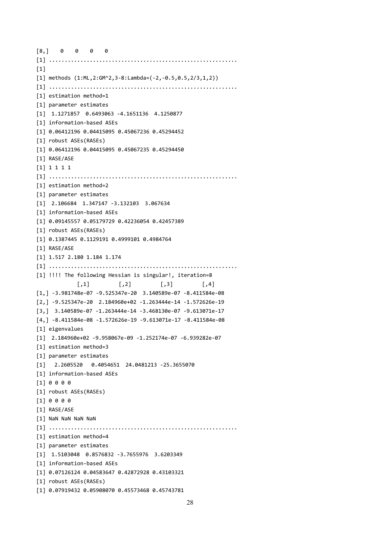```
[8,] 0 0 0 0
[1] ............................................................
[1]
[1] methods (1:ML,2:GM^2,3-8:Lambda=(-2,-0.5,0.5,2/3,1,2))
[1] ............................................................
[1] estimation method=1
[1] parameter estimates
[1] 1.1271857 0.6493063 -4.1651136 4.1250877
[1] information-based ASEs
[1] 0.06412196 0.04415095 0.45067236 0.45294452
[1] robust ASEs(RASEs)
[1] 0.06412196 0.04415095 0.45067235 0.45294450
[1] RASE/ASE
[1] 1 1 1 1
[1] ............................................................
[1] estimation method=2
[1] parameter estimates
[1] 2.106684 1.347147 -3.132103 3.067634
[1] information-based ASEs
[1] 0.09145557 0.05179729 0.42236054 0.42457389
[1] robust ASEs(RASEs)
[1] 0.1387445 0.1129191 0.4999101 0.4984764
[1] RASE/ASE
[1] 1.517 2.180 1.184 1.174
[1] ............................................................
[1] !!!! The following Hessian is singular!, iteration=8
             [,1] [,2] [,3] [,4]
[1,] -3.981748e-07 -9.525347e-20 3.140589e-07 -8.411584e-08
[2,] -9.525347e-20 2.184960e+02 -1.263444e-14 -1.572626e-19
[3,] 3.140589e-07 -1.263444e-14 -3.468130e-07 -9.613071e-17
[4,] -8.411584e-08 -1.572626e-19 -9.613071e-17 -8.411584e-08
[1] eigenvalues
[1] 2.184960e+02 -9.958067e-09 -1.252174e-07 -6.939282e-07
[1] estimation method=3
[1] parameter estimates
[1] 2.2605520 0.4054651 24.0481213 -25.3655070
[1] information-based ASEs
[1] 0 0 0 0
[1] robust ASEs(RASEs)
[1] 0 0 0 0
[1] RASE/ASE
[1] NaN NaN NaN NaN
[1] ............................................................
[1] estimation method=4
[1] parameter estimates
[1] 1.5103048 0.8576832 -3.7655976 3.6203349
[1] information-based ASEs
[1] 0.07126124 0.04583647 0.42872928 0.43103321
[1] robust ASEs(RASEs)
[1] 0.07919432 0.05908070 0.45573468 0.45743781
```

```
28
```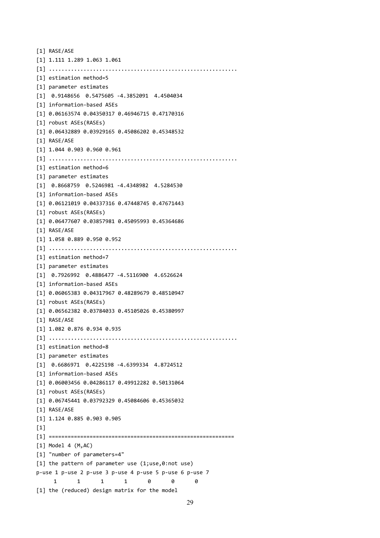```
[1] RASE/ASE
[1] 1.111 1.289 1.063 1.061
[1] ............................................................
[1] estimation method=5
[1] parameter estimates
[1] 0.9148656 0.5475605 -4.3852091 4.4504034
[1] information-based ASEs
[1] 0.06163574 0.04350317 0.46946715 0.47170316
[1] robust ASEs(RASEs)
[1] 0.06432889 0.03929165 0.45086202 0.45348532
[1] RASE/ASE
[1] 1.044 0.903 0.960 0.961
[1] ............................................................
[1] estimation method=6
[1] parameter estimates
[1] 0.8668759 0.5246981 -4.4348982 4.5284530
[1] information-based ASEs
[1] 0.06121019 0.04337316 0.47448745 0.47671443
[1] robust ASEs(RASEs)
[1] 0.06477607 0.03857981 0.45095993 0.45364686
[1] RASE/ASE
[1] 1.058 0.889 0.950 0.952
[1] ............................................................
[1] estimation method=7
[1] parameter estimates
[1] 0.7926992 0.4886477 -4.5116900 4.6526624
[1] information-based ASEs
[1] 0.06065383 0.04317967 0.48289679 0.48510947
[1] robust ASEs(RASEs)
[1] 0.06562382 0.03784033 0.45105026 0.45380997
[1] RASE/ASE
[1] 1.082 0.876 0.934 0.935
[1] ............................................................
[1] estimation method=8
[1] parameter estimates
[1] 0.6686971 0.4225198 -4.6399334 4.8724512
[1] information-based ASEs
[1] 0.06003456 0.04286117 0.49912282 0.50131064
[1] robust ASEs(RASEs)
[1] 0.06745441 0.03792329 0.45084606 0.45365032
[1] RASE/ASE
[1] 1.124 0.885 0.903 0.905
[1]
[1] ===========================================================
[1] Model 4 (M,AC)
[1] "number of parameters=4"
[1] the pattern of parameter use (1;use,0:not use)
p-use 1 p-use 2 p-use 3 p-use 4 p-use 5 p-use 6 p-use 7
     1 1 1 1 0 0 0
[1] the (reduced) design matrix for the model
```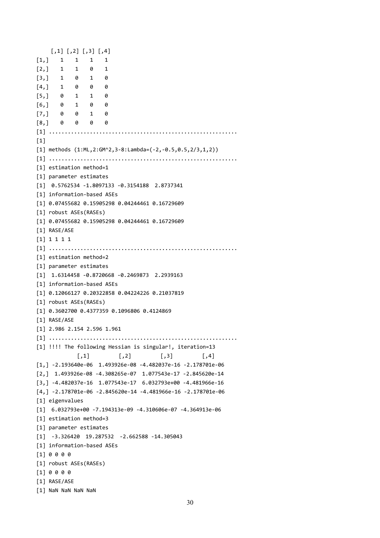```
[,1] [,2] [,3] [,4]
[1,] 1 1 1 1
[2,] 1 1 0 1
[3,] 1 0 1 0[4,] 1 0 0 0
[5,] 0 1 1 0
[6,] 0 1 0 0
[7,] 0 0 1 0
[8,] 0 0 0 0
[1] ............................................................
[1]
[1] methods (1:ML,2:GM^2,3-8:Lambda=(-2,-0.5,0.5,2/3,1,2))
[1] ............................................................
[1] estimation method=1
[1] parameter estimates
[1] 0.5762534 -1.8097133 -0.3154188 2.8737341
[1] information-based ASEs
[1] 0.07455682 0.15905298 0.04244461 0.16729609
[1] robust ASEs(RASEs)
[1] 0.07455682 0.15905298 0.04244461 0.16729609
[1] RASE/ASE
[1] 1 1 1 1
[1] ............................................................
[1] estimation method=2
[1] parameter estimates
[1] 1.6314458 -0.8720668 -0.2469873 2.2939163
[1] information-based ASEs
[1] 0.12066127 0.20322858 0.04224226 0.21037819
[1] robust ASEs(RASEs)
[1] 0.3602700 0.4377359 0.1096806 0.4124869
[1] RASE/ASE
[1] 2.986 2.154 2.596 1.961
[1] ............................................................
[1] !!!! The following Hessian is singular!, iteration=13
             \begin{bmatrix} 1 \\ 1 \end{bmatrix} \begin{bmatrix} 2 \\ 3 \end{bmatrix} \begin{bmatrix} 3 \end{bmatrix} \begin{bmatrix} 4 \end{bmatrix}[1,] -2.193640e-06 1.493926e-08 -4.482037e-16 -2.178701e-06
[2,] 1.493926e-08 -4.308265e-07 1.077543e-17 -2.845620e-14
[3,] -4.482037e-16 1.077543e-17 6.032793e+00 -4.481966e-16
[4,] -2.178701e-06 -2.845620e-14 -4.481966e-16 -2.178701e-06
[1] eigenvalues
[1] 6.032793e+00 -7.194313e-09 -4.310606e-07 -4.364913e-06
[1] estimation method=3
[1] parameter estimates
[1] -3.326420 19.287532 -2.662588 -14.305043
[1] information-based ASEs
[1] 0 0 0 0
[1] robust ASEs(RASEs)
[1] 0 0 0 0
[1] RASE/ASE
[1] NaN NaN NaN NaN
```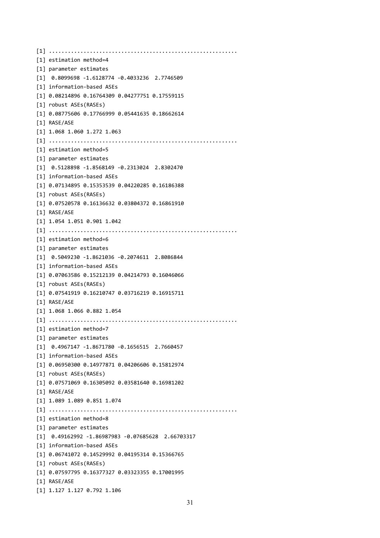[1] ............................................................ [1] estimation method=4 [1] parameter estimates [1] 0.8099698 -1.6128774 -0.4033236 2.7746509 [1] information-based ASEs [1] 0.08214896 0.16764309 0.04277751 0.17559115 [1] robust ASEs(RASEs) [1] 0.08775606 0.17766999 0.05441635 0.18662614 [1] RASE/ASE [1] 1.068 1.060 1.272 1.063 [1] ............................................................ [1] estimation method=5 [1] parameter estimates [1] 0.5128898 -1.8568149 -0.2313024 2.8302470 [1] information-based ASEs [1] 0.07134895 0.15353539 0.04220285 0.16186388 [1] robust ASEs(RASEs) [1] 0.07520578 0.16136632 0.03804372 0.16861910 [1] RASE/ASE [1] 1.054 1.051 0.901 1.042 [1] ............................................................ [1] estimation method=6 [1] parameter estimates [1] 0.5049230 -1.8621036 -0.2074611 2.8086844 [1] information-based ASEs [1] 0.07063586 0.15212139 0.04214793 0.16046066 [1] robust ASEs(RASEs) [1] 0.07541919 0.16210747 0.03716219 0.16915711 [1] RASE/ASE [1] 1.068 1.066 0.882 1.054 [1] ............................................................ [1] estimation method=7 [1] parameter estimates [1] 0.4967147 -1.8671780 -0.1656515 2.7660457 [1] information-based ASEs [1] 0.06950300 0.14977871 0.04206606 0.15812974 [1] robust ASEs(RASEs) [1] 0.07571069 0.16305092 0.03581640 0.16981202 [1] RASE/ASE [1] 1.089 1.089 0.851 1.074 [1] ............................................................ [1] estimation method=8 [1] parameter estimates [1] 0.49162992 -1.86987983 -0.07685628 2.66703317 [1] information-based ASEs [1] 0.06741072 0.14529992 0.04195314 0.15366765 [1] robust ASEs(RASEs) [1] 0.07597795 0.16377327 0.03323355 0.17001995 [1] RASE/ASE [1] 1.127 1.127 0.792 1.106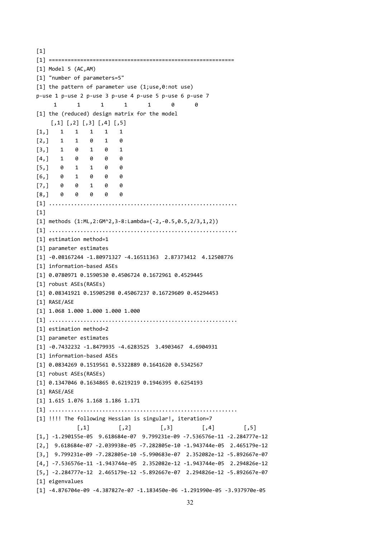$[1]$ [1] =========================================================== [1] Model 5 (AC,AM) [1] "number of parameters=5" [1] the pattern of parameter use (1;use,0:not use) p-use 1 p-use 2 p-use 3 p-use 4 p-use 5 p-use 6 p-use 7 1 1 1 1 1 0 0 [1] the (reduced) design matrix for the model  $\begin{bmatrix} 1 \\ 2 \end{bmatrix}$   $\begin{bmatrix} 2 \\ 3 \end{bmatrix}$   $\begin{bmatrix} 4 \\ 5 \end{bmatrix}$ [1,] 1 1 1 1 1  $[2,]$  1 1 0 1 0 [3,] 1 0 1 0 1  $[4,]$  1 0 0 0 0 [5,] 0 1 1 0 0 [6,] 0 1 0 0 0 [7,] 0 0 1 0 0 [8,] 0 0 0 0 0 [1] ............................................................  $[1]$ [1] methods (1:ML,2:GM^2,3-8:Lambda=(-2,-0.5,0.5,2/3,1,2)) [1] ............................................................ [1] estimation method=1 [1] parameter estimates [1] -0.08167244 -1.80971327 -4.16511363 2.87373412 4.12508776 [1] information-based ASEs [1] 0.0780971 0.1590530 0.4506724 0.1672961 0.4529445 [1] robust ASEs(RASEs) [1] 0.08341921 0.15905298 0.45067237 0.16729609 0.45294453 [1] RASE/ASE [1] 1.068 1.000 1.000 1.000 1.000 [1] ............................................................ [1] estimation method=2 [1] parameter estimates [1] -0.7432232 -1.8479935 -4.6283525 3.4903467 4.6904931 [1] information-based ASEs [1] 0.0834269 0.1519561 0.5322889 0.1641620 0.5342567 [1] robust ASEs(RASEs) [1] 0.1347046 0.1634865 0.6219219 0.1946395 0.6254193 [1] RASE/ASE [1] 1.615 1.076 1.168 1.186 1.171 [1] ............................................................ [1] !!!! The following Hessian is singular!, iteration=7  $[$ ,1]  $[$ ,2]  $[$ ,3]  $[$ ,4]  $[$ ,5] [1,] -1.290155e-05 9.618684e-07 9.799231e-09 -7.536576e-11 -2.284777e-12 [2,] 9.618684e-07 -2.039938e-05 -7.282805e-10 -1.943744e-05 2.465179e-12 [3,] 9.799231e-09 -7.282805e-10 -5.990683e-07 2.352082e-12 -5.892667e-07 [4,] -7.536576e-11 -1.943744e-05 2.352082e-12 -1.943744e-05 2.294826e-12 [5,] -2.284777e-12 2.465179e-12 -5.892667e-07 2.294826e-12 -5.892667e-07 [1] eigenvalues [1] -4.876704e-09 -4.387827e-07 -1.183450e-06 -1.291990e-05 -3.937970e-05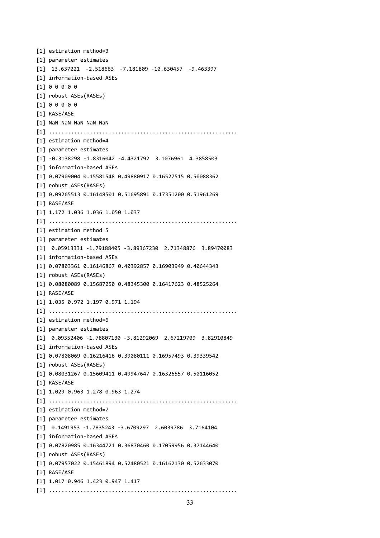```
[1] estimation method=3
[1] parameter estimates
[1] 13.637221 -2.518663 -7.181809 -10.630457 -9.463397
[1] information-based ASEs
[1] 0 0 0 0 0
[1] robust ASEs(RASEs)
[1] 0 0 0 0 0
[1] RASE/ASE
[1] NaN NaN NaN NaN NaN
[1] ............................................................
[1] estimation method=4
[1] parameter estimates
[1] -0.3138298 -1.8316042 -4.4321792 3.1076961 4.3858503
[1] information-based ASEs
[1] 0.07909004 0.15581548 0.49880917 0.16527515 0.50088362
[1] robust ASEs(RASEs)
[1] 0.09265513 0.16148501 0.51695891 0.17351200 0.51961269
[1] RASE/ASE
[1] 1.172 1.036 1.036 1.050 1.037
[1] ............................................................
[1] estimation method=5
[1] parameter estimates
[1] 0.05913331 -1.79188405 -3.89367230 2.71348876 3.89470083
[1] information-based ASEs
[1] 0.07803361 0.16146867 0.40392857 0.16903949 0.40644343
[1] robust ASEs(RASEs)
[1] 0.08080089 0.15687250 0.48345300 0.16417623 0.48525264
[1] RASE/ASE
[1] 1.035 0.972 1.197 0.971 1.194
[1] ............................................................
[1] estimation method=6
[1] parameter estimates
[1] 0.09352406 -1.78807130 -3.81292069 2.67219709 3.82910849
[1] information-based ASEs
[1] 0.07808069 0.16216416 0.39080111 0.16957493 0.39339542
[1] robust ASEs(RASEs)
[1] 0.08031267 0.15609411 0.49947647 0.16326557 0.50116052
[1] RASE/ASE
[1] 1.029 0.963 1.278 0.963 1.274
[1] ............................................................
[1] estimation method=7
[1] parameter estimates
[1] 0.1491953 -1.7835243 -3.6709297 2.6039786 3.7164104
[1] information-based ASEs
[1] 0.07820985 0.16344721 0.36870460 0.17059956 0.37144640
[1] robust ASEs(RASEs)
[1] 0.07957022 0.15461894 0.52480521 0.16162130 0.52633070
[1] RASE/ASE
[1] 1.017 0.946 1.423 0.947 1.417
[1] ............................................................
```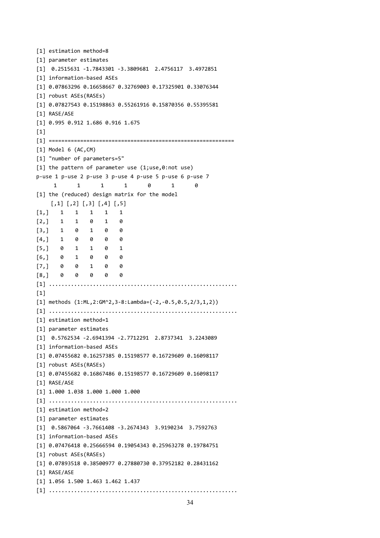```
[1] estimation method=8
[1] parameter estimates
[1] 0.2515631 -1.7843301 -3.3809681 2.4756117 3.4972851
[1] information-based ASEs
[1] 0.07863296 0.16658667 0.32769003 0.17325901 0.33076344
[1] robust ASEs(RASEs)
[1] 0.07827543 0.15198863 0.55261916 0.15870356 0.55395581
[1] RASE/ASE
[1] 0.995 0.912 1.686 0.916 1.675
[1][1] ===========================================================
[1] Model 6 (AC,CM)
[1] "number of parameters=5"
[1] the pattern of parameter use (1;use,0:not use)
p-use 1 p-use 2 p-use 3 p-use 4 p-use 5 p-use 6 p-use 7
      1 1 1 1 0 1 0
[1] the (reduced) design matrix for the model
    \begin{bmatrix} 1 \\ 2 \end{bmatrix} \begin{bmatrix} 2 \\ 3 \end{bmatrix} \begin{bmatrix} 4 \\ 4 \end{bmatrix} \begin{bmatrix} 5 \\ 1 \end{bmatrix}[1,] 1 1 1 1 1
[2, 1 \ 1 \ 1 \ 0 \ 1 \ 0[3,] 1 0 1 0 0
[4,] 1 0 0 0 0
[5,] 0 1 1 0 1
[6,] 0 1 0 0 0
[7,] 0 0 1 0 0
[8,] 0 0 0 0 0
[1] ............................................................
[1]
[1] methods (1:ML,2:GM^2,3-8:Lambda=(-2,-0.5,0.5,2/3,1,2))
[1] ............................................................
[1] estimation method=1
[1] parameter estimates
[1] 0.5762534 -2.6941394 -2.7712291 2.8737341 3.2243089
[1] information-based ASEs
[1] 0.07455682 0.16257385 0.15198577 0.16729609 0.16098117
[1] robust ASEs(RASEs)
[1] 0.07455682 0.16867486 0.15198577 0.16729609 0.16098117
[1] RASE/ASE
[1] 1.000 1.038 1.000 1.000 1.000
[1] ............................................................
[1] estimation method=2
[1] parameter estimates
[1] 0.5867064 -3.7661408 -3.2674343 3.9190234 3.7592763
[1] information-based ASEs
[1] 0.07476418 0.25666594 0.19054343 0.25963278 0.19784751
[1] robust ASEs(RASEs)
[1] 0.07893518 0.38500977 0.27880730 0.37952182 0.28431162
[1] RASE/ASE
[1] 1.056 1.500 1.463 1.462 1.437
[1] ............................................................
```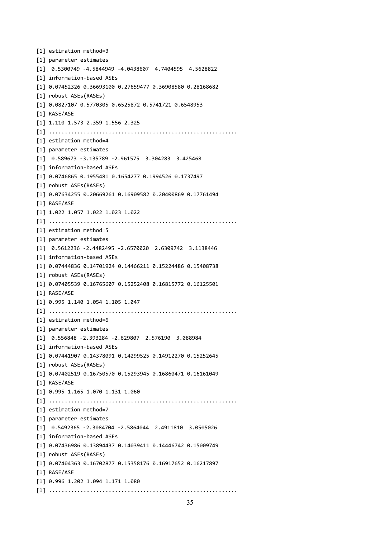```
[1] estimation method=3
[1] parameter estimates
[1] 0.5300749 -4.5844949 -4.0438607 4.7404595 4.5628822
[1] information-based ASEs
[1] 0.07452326 0.36693100 0.27659477 0.36908580 0.28168682
[1] robust ASEs(RASEs)
[1] 0.0827107 0.5770305 0.6525872 0.5741721 0.6548953
[1] RASE/ASE
[1] 1.110 1.573 2.359 1.556 2.325
[1] ............................................................
[1] estimation method=4
[1] parameter estimates
[1] 0.589673 -3.135789 -2.961575 3.304283 3.425468
[1] information-based ASEs
[1] 0.0746865 0.1955481 0.1654277 0.1994526 0.1737497
[1] robust ASEs(RASEs)
[1] 0.07634255 0.20669261 0.16909582 0.20400869 0.17761494
[1] RASE/ASE
[1] 1.022 1.057 1.022 1.023 1.022
[1] ............................................................
[1] estimation method=5
[1] parameter estimates
[1] 0.5612236 -2.4482495 -2.6570020 2.6309742 3.1138446
[1] information-based ASEs
[1] 0.07444836 0.14701924 0.14466211 0.15224486 0.15408738
[1] robust ASEs(RASEs)
[1] 0.07405539 0.16765607 0.15252408 0.16815772 0.16125501
[1] RASE/ASE
[1] 0.995 1.140 1.054 1.105 1.047
[1] ............................................................
[1] estimation method=6
[1] parameter estimates
[1] 0.556848 -2.393284 -2.629807 2.576190 3.088984
[1] information-based ASEs
[1] 0.07441907 0.14378091 0.14299525 0.14912270 0.15252645
[1] robust ASEs(RASEs)
[1] 0.07402519 0.16750570 0.15293945 0.16860471 0.16161049
[1] RASE/ASE
[1] 0.995 1.165 1.070 1.131 1.060
[1] ............................................................
[1] estimation method=7
[1] parameter estimates
[1] 0.5492365 -2.3084704 -2.5864044 2.4911810 3.0505026
[1] information-based ASEs
[1] 0.07436986 0.13894437 0.14039411 0.14446742 0.15009749
[1] robust ASEs(RASEs)
[1] 0.07404363 0.16702877 0.15358176 0.16917652 0.16217897
[1] RASE/ASE
[1] 0.996 1.202 1.094 1.171 1.080
[1] ............................................................
```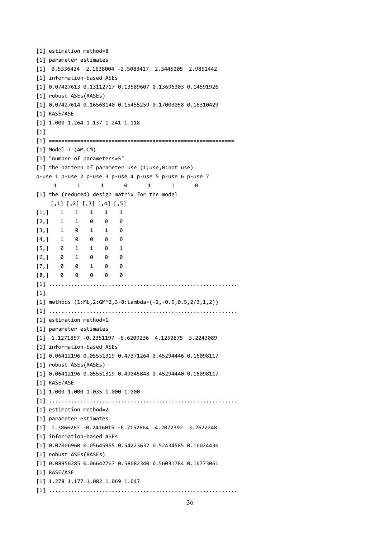```
[1] estimation method=8
[1] parameter estimates
[1] 0.5336424 -2.1638004 -2.5083417 2.3445205 2.9851442
[1] information-based ASEs
[1] 0.07427613 0.13112717 0.13589607 0.13696303 0.14591926
[1] robust ASEs(RASEs)
[1] 0.07427614 0.16568140 0.15455259 0.17003058 0.16310429
[1] RASE/ASE
[1] 1.000 1.264 1.137 1.241 1.118
[1][1] ===========================================================
[1] Model 7 (AM,CM)
[1] "number of parameters=5"
[1] the pattern of parameter use (1;use,0:not use)
p-use 1 p-use 2 p-use 3 p-use 4 p-use 5 p-use 6 p-use 7
      1 1 1 0 1 1 0
[1] the (reduced) design matrix for the model
    \begin{bmatrix} 1 \\ 2 \end{bmatrix} \begin{bmatrix} 2 \\ 3 \end{bmatrix} \begin{bmatrix} 4 \\ 4 \end{bmatrix} \begin{bmatrix} 5 \\ 1 \end{bmatrix}[1,] 1 1 1 1 1
[2, 1 \ 1 \ 1 \ 0 \ 0 \ 0[3,] 1 0 1 1 0
[4,] 1 0 0 0 0
[5,] 0 1 1 0 1
[6,] 0 1 0 0 0
[7,] 0 0 1 0 0
[8,] 0 0 0 0 0
[1] ............................................................
[1]
[1] methods (1:ML,2:GM^2,3-8:Lambda=(-2,-0.5,0.5,2/3,1,2))
[1] ............................................................
[1] estimation method=1
[1] parameter estimates
[1] 1.1271857 -0.2351197 -6.6209236 4.1250875 3.2243089
[1] information-based ASEs
[1] 0.06412196 0.05551319 0.47371264 0.45294446 0.16098117
[1] robust ASEs(RASEs)
[1] 0.06412196 0.05551319 0.49045848 0.45294440 0.16098117
[1] RASE/ASE
[1] 1.000 1.000 1.035 1.000 1.000
[1] ............................................................
[1] estimation method=2
[1] parameter estimates
[1] 1.3866267 -0.2416015 -6.7152864 4.2072392 3.2622248
[1] information-based ASEs
[1] 0.07006960 0.05645955 0.54223632 0.52434585 0.16024436
[1] robust ASEs(RASEs)
[1] 0.08956285 0.06642767 0.58682340 0.56031784 0.16773061
[1] RASE/ASE
[1] 1.278 1.177 1.082 1.069 1.047
[1] ............................................................
```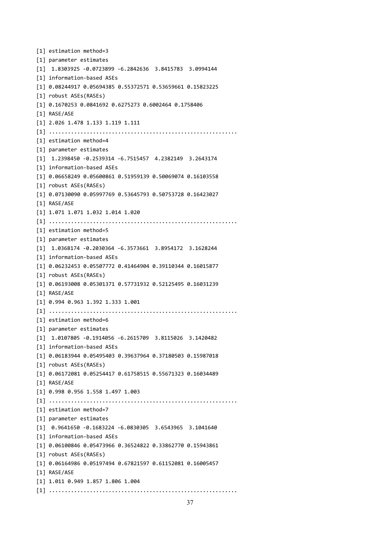```
[1] estimation method=3
[1] parameter estimates
[1] 1.8303925 -0.0723899 -6.2842636 3.8415783 3.0994144
[1] information-based ASEs
[1] 0.08244917 0.05694385 0.55372571 0.53659661 0.15823225
[1] robust ASEs(RASEs)
[1] 0.1670253 0.0841692 0.6275273 0.6002464 0.1758406
[1] RASE/ASE
[1] 2.026 1.478 1.133 1.119 1.111
[1] ............................................................
[1] estimation method=4
[1] parameter estimates
[1] 1.2398450 -0.2539314 -6.7515457 4.2382149 3.2643174
[1] information-based ASEs
[1] 0.06658249 0.05600861 0.51959139 0.50069074 0.16103558
[1] robust ASEs(RASEs)
[1] 0.07130090 0.05997769 0.53645793 0.50753728 0.16423027
[1] RASE/ASE
[1] 1.071 1.071 1.032 1.014 1.020
[1] ............................................................
[1] estimation method=5
[1] parameter estimates
[1] 1.0368174 -0.2030364 -6.3573661 3.8954172 3.1628244
[1] information-based ASEs
[1] 0.06232453 0.05507772 0.41464904 0.39110344 0.16015877
[1] robust ASEs(RASEs)
[1] 0.06193008 0.05301371 0.57731932 0.52125495 0.16031239
[1] RASE/ASE
[1] 0.994 0.963 1.392 1.333 1.001
[1] ............................................................
[1] estimation method=6
[1] parameter estimates
[1] 1.0107805 -0.1914056 -6.2615709 3.8115026 3.1420482
[1] information-based ASEs
[1] 0.06183944 0.05495403 0.39637964 0.37180503 0.15987018
[1] robust ASEs(RASEs)
[1] 0.06172081 0.05254417 0.61758515 0.55671323 0.16034489
[1] RASE/ASE
[1] 0.998 0.956 1.558 1.497 1.003
[1] ............................................................
[1] estimation method=7
[1] parameter estimates
[1] 0.9641650 -0.1683224 -6.0830305 3.6543965 3.1041640
[1] information-based ASEs
[1] 0.06100846 0.05473966 0.36524822 0.33862770 0.15943861
[1] robust ASEs(RASEs)
[1] 0.06164986 0.05197494 0.67821597 0.61152081 0.16005457
[1] RASE/ASE
[1] 1.011 0.949 1.857 1.806 1.004
[1] ............................................................
```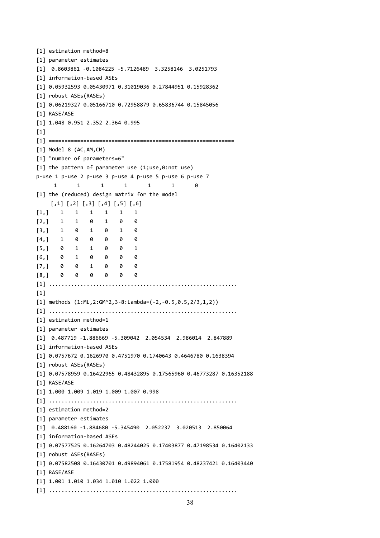```
[1] estimation method=8
[1] parameter estimates
[1] 0.8603861 -0.1084225 -5.7126489 3.3258146 3.0251793
[1] information-based ASEs
[1] 0.05932593 0.05430971 0.31019036 0.27844951 0.15928362
[1] robust ASEs(RASEs)
[1] 0.06219327 0.05166710 0.72958879 0.65836744 0.15845056
[1] RASE/ASE
[1] 1.048 0.951 2.352 2.364 0.995
[1][1] ===========================================================
[1] Model 8 (AC,AM,CM)
[1] "number of parameters=6"
[1] the pattern of parameter use (1;use,0:not use)
p-use 1 p-use 2 p-use 3 p-use 4 p-use 5 p-use 6 p-use 7
     1 1 1 1 1 1 0
[1] the (reduced) design matrix for the model
    [,1] [,2] [,3] [,4] [,5] [,6]
[1,] 1 1 1 1 1 1
[2, 1 \ 1 \ 1 \ 0 \ 1 \ 0 \ 0[3,] 1 0 1 0 1 0
[4,] 1 0 0 0 0 0
[5,] 0 1 1 0 0 1
[6,] 0 1 0 0 0 0
[7,] 0 0 1 0 0 0
[8,] 0 0 0 0 0 0
[1] ............................................................
[1]
[1] methods (1:ML,2:GM^2,3-8:Lambda=(-2,-0.5,0.5,2/3,1,2))
[1] ............................................................
[1] estimation method=1
[1] parameter estimates
[1] 0.487719 -1.886669 -5.309042 2.054534 2.986014 2.847889
[1] information-based ASEs
[1] 0.0757672 0.1626970 0.4751970 0.1740643 0.4646780 0.1638394
[1] robust ASEs(RASEs)
[1] 0.07578959 0.16422965 0.48432895 0.17565960 0.46773287 0.16352188
[1] RASE/ASE
[1] 1.000 1.009 1.019 1.009 1.007 0.998
[1] ............................................................
[1] estimation method=2
[1] parameter estimates
[1] 0.488160 -1.884680 -5.345490 2.052237 3.020513 2.850064
[1] information-based ASEs
[1] 0.07577525 0.16264703 0.48244025 0.17403877 0.47198534 0.16402133
[1] robust ASEs(RASEs)
[1] 0.07582508 0.16430701 0.49894061 0.17581954 0.48237421 0.16403440
[1] RASE/ASE
[1] 1.001 1.010 1.034 1.010 1.022 1.000
[1] ............................................................
```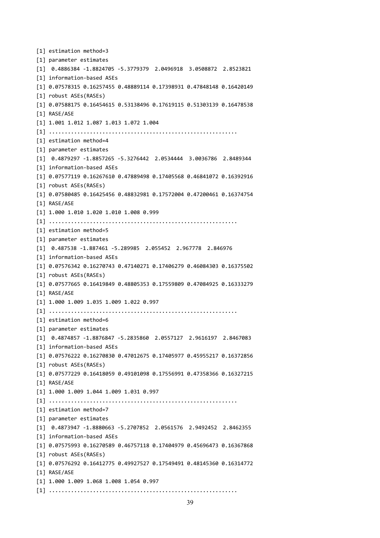[1] estimation method=3 [1] parameter estimates [1] 0.4886384 -1.8824705 -5.3779379 2.0496918 3.0508872 2.8523821 [1] information-based ASEs [1] 0.07578315 0.16257455 0.48889114 0.17398931 0.47848148 0.16420149 [1] robust ASEs(RASEs) [1] 0.07588175 0.16454615 0.53138496 0.17619115 0.51303139 0.16478538 [1] RASE/ASE [1] 1.001 1.012 1.087 1.013 1.072 1.004 [1] ............................................................ [1] estimation method=4 [1] parameter estimates [1] 0.4879297 -1.8857265 -5.3276442 2.0534444 3.0036786 2.8489344 [1] information-based ASEs [1] 0.07577119 0.16267610 0.47889498 0.17405568 0.46841072 0.16392916 [1] robust ASEs(RASEs) [1] 0.07580485 0.16425456 0.48832981 0.17572004 0.47200461 0.16374754 [1] RASE/ASE [1] 1.000 1.010 1.020 1.010 1.008 0.999 [1] ............................................................ [1] estimation method=5 [1] parameter estimates [1] 0.487538 -1.887461 -5.289985 2.055452 2.967778 2.846976 [1] information-based ASEs [1] 0.07576342 0.16270743 0.47140271 0.17406279 0.46084303 0.16375502 [1] robust ASEs(RASEs) [1] 0.07577665 0.16419849 0.48805353 0.17559809 0.47084925 0.16333279 [1] RASE/ASE [1] 1.000 1.009 1.035 1.009 1.022 0.997 [1] ............................................................ [1] estimation method=6 [1] parameter estimates [1] 0.4874857 -1.8876847 -5.2835860 2.0557127 2.9616197 2.8467083 [1] information-based ASEs [1] 0.07576222 0.16270830 0.47012675 0.17405977 0.45955217 0.16372856 [1] robust ASEs(RASEs) [1] 0.07577229 0.16418059 0.49101098 0.17556991 0.47358366 0.16327215 [1] RASE/ASE [1] 1.000 1.009 1.044 1.009 1.031 0.997 [1] ............................................................ [1] estimation method=7 [1] parameter estimates [1] 0.4873947 -1.8880663 -5.2707852 2.0561576 2.9492452 2.8462355 [1] information-based ASEs [1] 0.07575993 0.16270589 0.46757118 0.17404979 0.45696473 0.16367868 [1] robust ASEs(RASEs) [1] 0.07576292 0.16412775 0.49927527 0.17549491 0.48145360 0.16314772 [1] RASE/ASE [1] 1.000 1.009 1.068 1.008 1.054 0.997 [1] ............................................................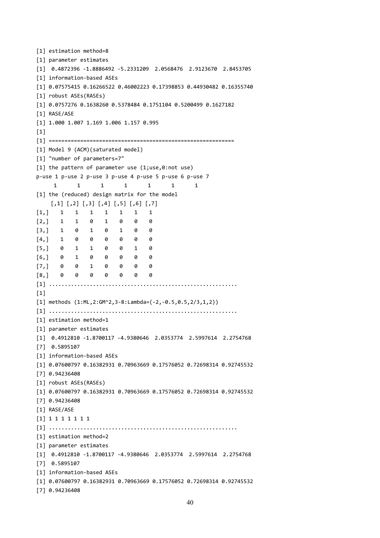```
[1] estimation method=8
[1] parameter estimates
[1] 0.4872396 -1.8886492 -5.2331209 2.0568476 2.9123670 2.8453705
[1] information-based ASEs
[1] 0.07575415 0.16266522 0.46002223 0.17398853 0.44930482 0.16355740
[1] robust ASEs(RASEs)
[1] 0.0757276 0.1638260 0.5378484 0.1751104 0.5200499 0.1627182
[1] RASE/ASE
[1] 1.000 1.007 1.169 1.006 1.157 0.995
[1][1] ===========================================================
[1] Model 9 (ACM)(saturated model)
[1] "number of parameters=7"
[1] the pattern of parameter use (1;use,0:not use)
p-use 1 p-use 2 p-use 3 p-use 4 p-use 5 p-use 6 p-use 7
     1 1 1 1 1 1 1
[1] the (reduced) design matrix for the model
    [,1] [,2] [,3] [,4] [,5] [,6] [,7]
[1,] 1 1 1 1 1 1 1
[2,] 1 1 0 1 0 0 0
[3,] 1 0 1 0 1 0 0
[4,] 1 0 0 0 0 0 0
[5,] 0 1 1 0 0 1 0
[6,] 0 1 0 0 0 0 0
[7,] 0 0 1 0 0 0 0
[8,] 0 0 0 0 0 0 0
[1] ............................................................
[1]
[1] methods (1:ML,2:GM^2,3-8:Lambda=(-2,-0.5,0.5,2/3,1,2))
[1] ............................................................
[1] estimation method=1
[1] parameter estimates
[1] 0.4912810 -1.8700117 -4.9380646 2.0353774 2.5997614 2.2754768
[7] 0.5895107
[1] information-based ASEs
[1] 0.07600797 0.16382931 0.70963669 0.17576052 0.72698314 0.92745532
[7] 0.94236408
[1] robust ASEs(RASEs)
[1] 0.07600797 0.16382931 0.70963669 0.17576052 0.72698314 0.92745532
[7] 0.94236408
[1] RASE/ASE
[1] 1 1 1 1 1 1 1
[1] ............................................................
[1] estimation method=2
[1] parameter estimates
[1] 0.4912810 -1.8700117 -4.9380646 2.0353774 2.5997614 2.2754768
[7] 0.5895107
[1] information-based ASEs
[1] 0.07600797 0.16382931 0.70963669 0.17576052 0.72698314 0.92745532
[7] 0.94236408
```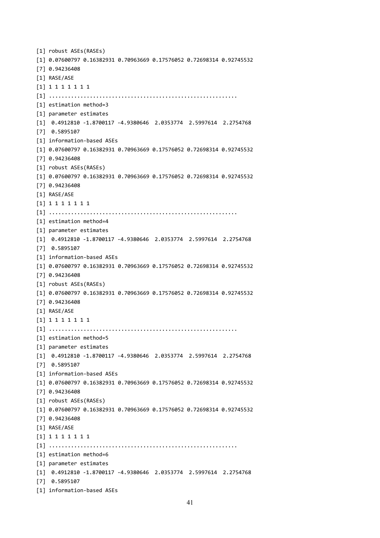```
[1] robust ASEs(RASEs)
[1] 0.07600797 0.16382931 0.70963669 0.17576052 0.72698314 0.92745532
[7] 0.94236408
[1] RASE/ASE
[1] 1 1 1 1 1 1 1
[1] ............................................................
[1] estimation method=3
[1] parameter estimates
[1] 0.4912810 -1.8700117 -4.9380646 2.0353774 2.5997614 2.2754768
[7] 0.5895107
[1] information-based ASEs
[1] 0.07600797 0.16382931 0.70963669 0.17576052 0.72698314 0.92745532
[7] 0.94236408
[1] robust ASEs(RASEs)
[1] 0.07600797 0.16382931 0.70963669 0.17576052 0.72698314 0.92745532
[7] 0.94236408
[1] RASE/ASE
[1] 1 1 1 1 1 1 1
[1] ............................................................
[1] estimation method=4
[1] parameter estimates
[1] 0.4912810 -1.8700117 -4.9380646 2.0353774 2.5997614 2.2754768
[7] 0.5895107
[1] information-based ASEs
[1] 0.07600797 0.16382931 0.70963669 0.17576052 0.72698314 0.92745532
[7] 0.94236408
[1] robust ASEs(RASEs)
[1] 0.07600797 0.16382931 0.70963669 0.17576052 0.72698314 0.92745532
[7] 0.94236408
[1] RASE/ASE
[1] 1 1 1 1 1 1 1
[1] ............................................................
[1] estimation method=5
[1] parameter estimates
[1] 0.4912810 -1.8700117 -4.9380646 2.0353774 2.5997614 2.2754768
[7] 0.5895107
[1] information-based ASEs
[1] 0.07600797 0.16382931 0.70963669 0.17576052 0.72698314 0.92745532
[7] 0.94236408
[1] robust ASEs(RASEs)
[1] 0.07600797 0.16382931 0.70963669 0.17576052 0.72698314 0.92745532
[7] 0.94236408
[1] RASE/ASE
[1] 1 1 1 1 1 1 1
[1] ............................................................
[1] estimation method=6
[1] parameter estimates
[1] 0.4912810 -1.8700117 -4.9380646 2.0353774 2.5997614 2.2754768
[7] 0.5895107
[1] information-based ASEs
```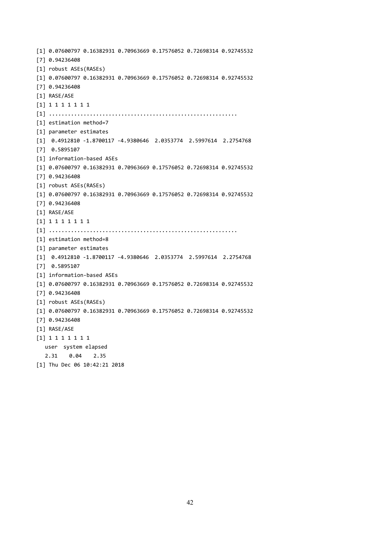[1] 0.07600797 0.16382931 0.70963669 0.17576052 0.72698314 0.92745532 [7] 0.94236408 [1] robust ASEs(RASEs) [1] 0.07600797 0.16382931 0.70963669 0.17576052 0.72698314 0.92745532 [7] 0.94236408 [1] RASE/ASE [1] 1 1 1 1 1 1 1 [1] ............................................................ [1] estimation method=7 [1] parameter estimates [1] 0.4912810 -1.8700117 -4.9380646 2.0353774 2.5997614 2.2754768 [7] 0.5895107 [1] information-based ASEs [1] 0.07600797 0.16382931 0.70963669 0.17576052 0.72698314 0.92745532 [7] 0.94236408 [1] robust ASEs(RASEs) [1] 0.07600797 0.16382931 0.70963669 0.17576052 0.72698314 0.92745532 [7] 0.94236408 [1] RASE/ASE [1] 1 1 1 1 1 1 1 [1] ............................................................ [1] estimation method=8 [1] parameter estimates [1] 0.4912810 -1.8700117 -4.9380646 2.0353774 2.5997614 2.2754768 [7] 0.5895107 [1] information-based ASEs [1] 0.07600797 0.16382931 0.70963669 0.17576052 0.72698314 0.92745532 [7] 0.94236408 [1] robust ASEs(RASEs) [1] 0.07600797 0.16382931 0.70963669 0.17576052 0.72698314 0.92745532 [7] 0.94236408 [1] RASE/ASE [1] 1 1 1 1 1 1 1 user system elapsed 2.31 0.04 2.35 [1] Thu Dec 06 10:42:21 2018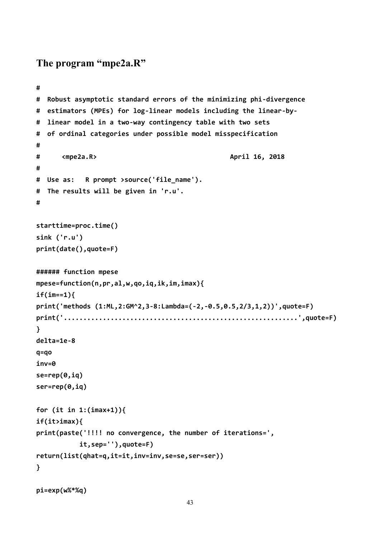```
The program "mpe2a.R"
```

```
#
# Robust asymptotic standard errors of the minimizing phi-divergence
# estimators (MPEs) for log-linear models including the linear-by-
# linear model in a two-way contingency table with two sets
# of ordinal categories under possible model misspecification
#
# <mpe2a.R> April 16, 2018
#
# Use as: R prompt >source('file_name').
# The results will be given in 'r.u'.
#
starttime=proc.time()
sink ('r.u')
print(date(),quote=F)
###### function mpese
mpese=function(n,pr,al,w,qo,iq,ik,im,imax){
if(im==1){
print('methods (1:ML,2:GM^2,3-8:Lambda=(-2,-0.5,0.5,2/3,1,2))',quote=F)
print('............................................................',quote=F)
}
delta=1e-8
q=qo
inv=0
se=rep(0,iq)
ser=rep(0,iq)
for (it in 1:(imax+1)){
if(it>imax){
print(paste('!!!! no convergence, the number of iterations=',
          it,sep=''),quote=F)
return(list(qhat=q,it=it,inv=inv,se=se,ser=ser))
}
```

```
pi=exp(w%*%q)
```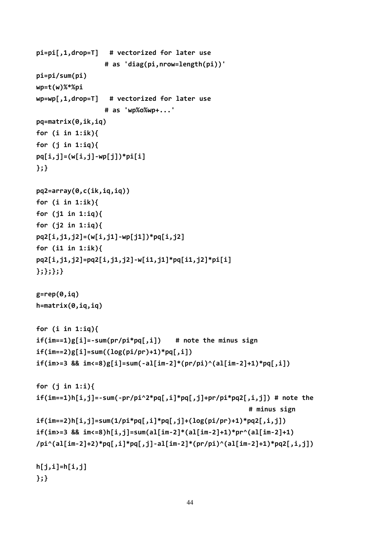```
pi=pi[,1,drop=T] # vectorized for later use
                 # as 'diag(pi,nrow=length(pi))'
pi=pi/sum(pi)
wp=t(w)%*%pi
wp=wp[,1,drop=T] # vectorized for later use
                 # as 'wp%o%wp+...'
pq=matrix(0,ik,iq)
for (i in 1:ik){
for (j in 1:iq){
pq[i,j]=(w[i,j]-wp[j])*pi[i]
};}
pq2=array(0,c(ik,iq,iq))
for (i in 1:ik){
for (j1 in 1:iq){
for (j2 in 1:iq){
pq2[i,j1,j2]=(w[i,j1]-wp[j1])*pq[i,j2]
for (i1 in 1:ik){
pq2[i,j1,j2]=pq2[i,j1,j2]-w[i1,j1]*pq[i1,j2]*pi[i]
};};};}
g=rep(0,iq)
h=matrix(0,iq,iq)
for (i in 1:iq){
if(im==1)g[i]=-sum(pr/pi*pq[,i]) # note the minus sign
if(im==2)g[i]=sum((log(pi/pr)+1)*pq[,i])
if(im>=3 && im<=8)g[i]=sum(-al[im-2]*(pr/pi)^(al[im-2]+1)*pq[,i])
for (j in 1:i){
if(im==1)h[i,j]=-sum(-pr/pi^2*pq[,i]*pq[,j]+pr/pi*pq2[,i,j]) # note the
                                                      # minus sign
if(im==2)h[i,j]=sum(1/pi*pq[,i]*pq[,j]+(log(pi/pr)+1)*pq2[,i,j])
if(im>=3 && im<=8)h[i,j]=sum(al[im-2]*(al[im-2]+1)*pr^(al[im-2]+1)
/pi^(al[im-2]+2)*pq[,i]*pq[,j]-al[im-2]*(pr/pi)^(al[im-2]+1)*pq2[,i,j])
h[j,i]=h[i,j]
};}
```

```
44
```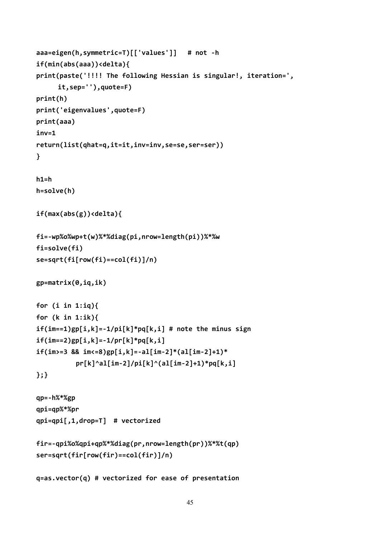```
aaa=eigen(h,symmetric=T)[['values']] # not -h
if(min(abs(aaa))<delta){
print(paste('!!!! The following Hessian is singular!, iteration=',
     it,sep=''),quote=F)
print(h)
print('eigenvalues',quote=F)
print(aaa)
inv=1
return(list(qhat=q,it=it,inv=inv,se=se,ser=ser))
}
h1=h
h=solve(h)
if(max(abs(g))<delta){
fi=-wp%o%wp+t(w)%*%diag(pi,nrow=length(pi))%*%w
fi=solve(fi)
se=sqrt(fi[row(fi)==col(fi)]/n)
gp=matrix(0,iq,ik)
for (i in 1:iq){
for (k in 1:ik){
if(im==1)gp[i,k]=-1/pi[k]*pq[k,i] # note the minus sign
if(im==2)gp[i,k]=-1/pr[k]*pq[k,i]
if(im>=3 && im<=8)gp[i,k]=-al[im-2]*(al[im-2]+1)*
          pr[k]^al[im-2]/pi[k]^(al[im-2]+1)*pq[k,i]
};}
qp=-h%*%gp
qpi=qp%*%pr
qpi=qpi[,1,drop=T] # vectorized
fir=-qpi%o%qpi+qp%*%diag(pr,nrow=length(pr))%*%t(qp)
ser=sqrt(fir[row(fir)==col(fir)]/n)
```
**q=as.vector(q) # vectorized for ease of presentation**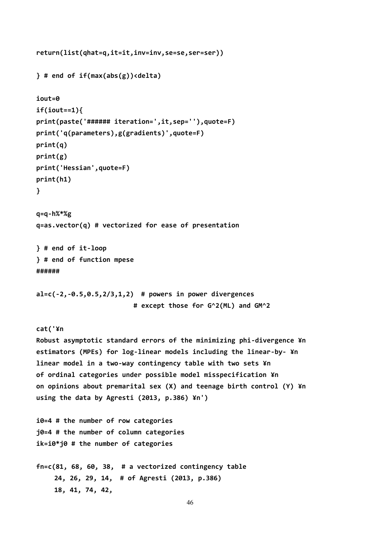```
return(list(qhat=q,it=it,inv=inv,se=se,ser=ser))
} # end of if(max(abs(g))<delta)
iout=0
if(iout==1){
print(paste('###### iteration=',it,sep=''),quote=F)
print('q(parameters),g(gradients)',quote=F)
print(q)
print(g)
print('Hessian',quote=F)
print(h1)
}
q=q-h%*%g
q=as.vector(q) # vectorized for ease of presentation
} # end of it-loop
} # end of function mpese
######
al=c(-2,-0.5,0.5,2/3,1,2) # powers in power divergences
                         # except those for G^2(ML) and GM^2
cat('¥n
Robust asymptotic standard errors of the minimizing phi-divergence ¥n
estimators (MPEs) for log-linear models including the linear-by- ¥n
linear model in a two-way contingency table with two sets ¥n
of ordinal categories under possible model misspecification ¥n
on opinions about premarital sex (X) and teenage birth control (Y) ¥n
using the data by Agresti (2013, p.386) ¥n')
i0=4 # the number of row categories
j0=4 # the number of column categories
ik=i0*j0 # the number of categories
fn=c(81, 68, 60, 38, # a vectorized contingency table
    24, 26, 29, 14, # of Agresti (2013, p.386)
    18, 41, 74, 42,
```

```
46
```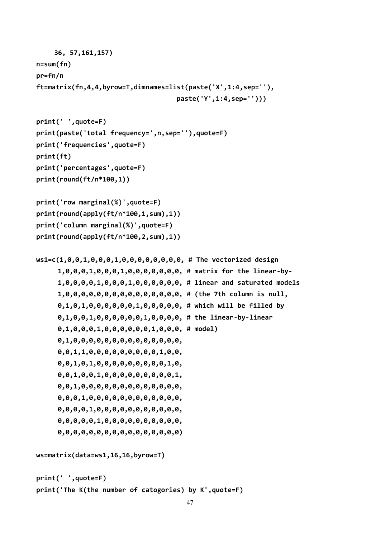```
36, 57,161,157)
n=sum(fn)
pr=fn/n
ft=matrix(fn,4,4,byrow=T,dimnames=list(paste('X',1:4,sep=''),
                                    paste('Y',1:4,sep='')))
print(' ',quote=F)
print(paste('total frequency=',n,sep=''),quote=F)
print('frequencies',quote=F)
print(ft)
print('percentages',quote=F)
print(round(ft/n*100,1))
print('row marginal(%)',quote=F)
print(round(apply(ft/n*100,1,sum),1))
print('column marginal(%)',quote=F)
print(round(apply(ft/n*100,2,sum),1))
ws1=c(1,0,0,1,0,0,0,1,0,0,0,0,0,0,0,0, # The vectorized design
     1,0,0,0,1,0,0,0,1,0,0,0,0,0,0,0, # matrix for the linear-by-
     1,0,0,0,0,1,0,0,0,1,0,0,0,0,0,0, # linear and saturated models
     1,0,0,0,0,0,0,0,0,0,0,0,0,0,0,0, # (the 7th column is null,
     0,1,0,1,0,0,0,0,0,0,1,0,0,0,0,0, # which will be filled by
     0,1,0,0,1,0,0,0,0,0,0,1,0,0,0,0, # the linear-by-linear
     0,1,0,0,0,1,0,0,0,0,0,0,1,0,0,0, # model)
     0,1,0,0,0,0,0,0,0,0,0,0,0,0,0,0,
     0,0,1,1,0,0,0,0,0,0,0,0,0,1,0,0,
     0,0,1,0,1,0,0,0,0,0,0,0,0,0,1,0,
     0,0,1,0,0,1,0,0,0,0,0,0,0,0,0,1,
     0,0,1,0,0,0,0,0,0,0,0,0,0,0,0,0,
     0,0,0,1,0,0,0,0,0,0,0,0,0,0,0,0,
     0,0,0,0,1,0,0,0,0,0,0,0,0,0,0,0,
     0,0,0,0,0,1,0,0,0,0,0,0,0,0,0,0,
     0,0,0,0,0,0,0,0,0,0,0,0,0,0,0,0)
ws=matrix(data=ws1,16,16,byrow=T)
print(' ',quote=F)
print('The K(the number of catogories) by K',quote=F)
```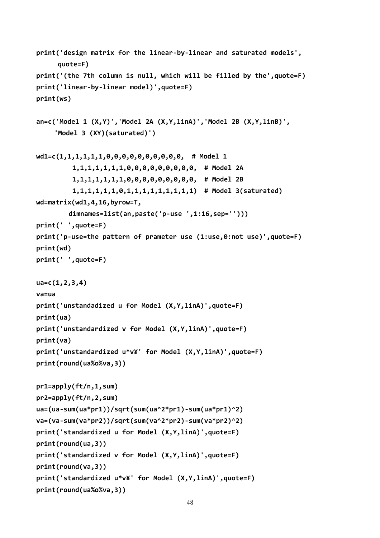```
print('design matrix for the linear-by-linear and saturated models',
     quote=F)
print('(the 7th column is null, which will be filled by the',quote=F)
print('linear-by-linear model)',quote=F)
print(ws)
an=c('Model 1 (X,Y)','Model 2A (X,Y,linA)','Model 2B (X,Y,linB)',
    'Model 3 (XY)(saturated)')
wd1=c(1,1,1,1,1,1,0,0,0,0,0,0,0,0,0,0, # Model 1
         1,1,1,1,1,1,1,0,0,0,0,0,0,0,0,0, # Model 2A
         1,1,1,1,1,1,1,0,0,0,0,0,0,0,0,0, # Model 2B
         1,1,1,1,1,1,0,1,1,1,1,1,1,1,1,1) # Model 3(saturated)
wd=matrix(wd1,4,16,byrow=T,
        dimnames=list(an,paste('p-use ',1:16,sep='')))
print(' ',quote=F)
print('p-use=the pattern of prameter use (1:use,0:not use)',quote=F)
print(wd)
print(' ',quote=F)
ua=c(1,2,3,4)
va=ua
print('unstandadized u for Model (X,Y,linA)',quote=F)
print(ua)
print('unstandardized v for Model (X,Y,linA)',quote=F)
print(va)
print('unstandardized u*v¥' for Model (X,Y,linA)',quote=F)
print(round(ua%o%va,3))
pr1=apply(ft/n,1,sum)
pr2=apply(ft/n,2,sum)
ua=(ua-sum(ua*pr1))/sqrt(sum(ua^2*pr1)-sum(ua*pr1)^2)
va=(va-sum(va*pr2))/sqrt(sum(va^2*pr2)-sum(va*pr2)^2)
print('standardized u for Model (X,Y,linA)',quote=F)
print(round(ua,3))
print('standardized v for Model (X,Y,linA)',quote=F)
print(round(va,3))
print('standardized u*v¥' for Model (X,Y,linA)',quote=F)
print(round(ua%o%va,3))
```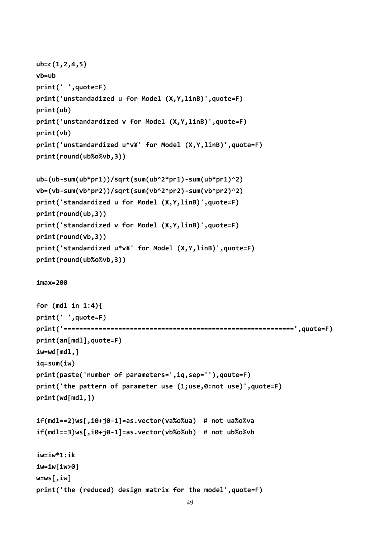```
ub=c(1,2,4,5)
vb=ub
print(' ',quote=F)
print('unstandadized u for Model (X,Y,linB)',quote=F)
print(ub)
print('unstandardized v for Model (X,Y,linB)',quote=F)
print(vb)
print('unstandardized u*v¥' for Model (X,Y,linB)',quote=F)
print(round(ub%o%vb,3))
ub=(ub-sum(ub*pr1))/sqrt(sum(ub^2*pr1)-sum(ub*pr1)^2)
vb=(vb-sum(vb*pr2))/sqrt(sum(vb^2*pr2)-sum(vb*pr2)^2)
print('standardized u for Model (X,Y,linB)',quote=F)
print(round(ub,3))
print('standardized v for Model (X,Y,linB)',quote=F)
print(round(vb,3))
print('standardized u*v¥' for Model (X,Y,linB)',quote=F)
print(round(ub%o%vb,3))
imax=200
for (mdl in 1:4){
print(' ',quote=F)
print('===========================================================',quote=F)
print(an[mdl],quote=F)
iw=wd[mdl,]
iq=sum(iw)
print(paste('number of parameters=',iq,sep=''),qoute=F)
print('the pattern of parameter use (1;use,0:not use)',quote=F)
print(wd[mdl,])
if(mdl==2)ws[,i0+j0-1]=as.vector(va%o%ua) # not ua%o%va
if(mdl==3)ws[,i0+j0-1]=as.vector(vb%o%ub) # not ub%o%vb
iw=iw*1:ik
iw=iw[iw>0]
w=ws[,iw]
print('the (reduced) design matrix for the model',quote=F)
```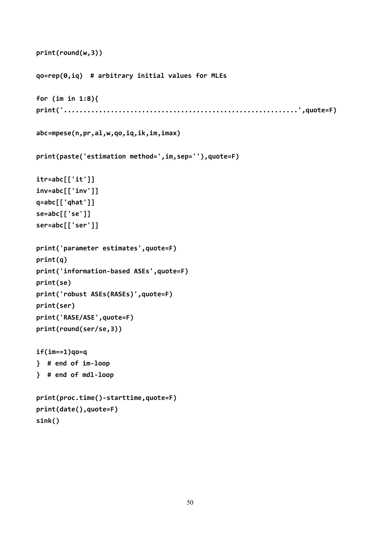```
print(round(w,3))
qo=rep(0,iq) # arbitrary initial values for MLEs
for (im in 1:8){
print('............................................................',quote=F)
abc=mpese(n,pr,al,w,qo,iq,ik,im,imax)
print(paste('estimation method=',im,sep=''),quote=F)
itr=abc[['it']]
inv=abc[['inv']]
q=abc[['qhat']]
se=abc[['se']]
ser=abc[['ser']]
print('parameter estimates',quote=F)
print(q)
print('information-based ASEs',quote=F)
print(se)
print('robust ASEs(RASEs)',quote=F)
print(ser)
print('RASE/ASE',quote=F)
print(round(ser/se,3))
if(im==1)qo=q
} # end of im-loop
} # end of mdl-loop
print(proc.time()-starttime,quote=F)
print(date(),quote=F)
sink()
```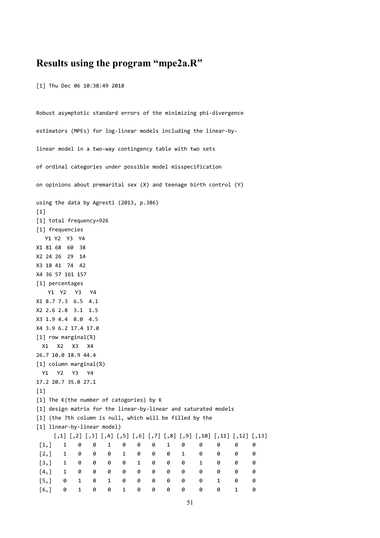### **Results using the program "mpe2a.R"**

[1] Thu Dec 06 10:38:49 2018

```
Robust asymptotic standard errors of the minimizing phi-divergence
estimators (MPEs) for log-linear models including the linear-by-
linear model in a two-way contingency table with two sets
of ordinal categories under possible model misspecification
on opinions about premarital sex (X) and teenage birth control (Y)
using the data by Agresti (2013, p.386)
[1]
[1] total frequency=926
[1] frequencies
  Y1 Y2 Y3 Y4
X1 81 68 60 38
X2 24 26 29 14
X3 18 41 74 42
X4 36 57 161 157
[1] percentages
  Y1 Y2 Y3 Y4
X1 8.7 7.3 6.5 4.1
X2 2.6 2.8 3.1 1.5
X3 1.9 4.4 8.0 4.5
X4 3.9 6.2 17.4 17.0
[1] row marginal(%)
 X1 X2 X3 X4
26.7 10.0 18.9 44.4
[1] column marginal(%)
 Y1 Y2 Y3 Y4
17.2 20.7 35.0 27.1
[1]
[1] The K(the number of catogories) by K
[1] design matrix for the linear-by-linear and saturated models
[1] (the 7th column is null, which will be filled by the
[1] linear-by-linear model)
    [,1] [,2] [,3] [,4] [,5] [,6] [,7] [,8] [,9] [,10] [,11] [,12] [,13]
 [1,] 1 0 0 1 0 0 0 1 0 0 0 0 0
 [2,] 1 0 0 0 1 0 0 0 1 0 0 0 0
 [3,] 1 0 0 0 0 1 0 0 0 1 0 0 0
 [4,] 1 0 0 0 0 0 0 0 0 0 0 0 0
 [5,] 0 1 0 1 0 0 0 0 0 0 1 0 0
 [6,] 0 1 0 0 1 0 0 0 0 0 0 1 0
```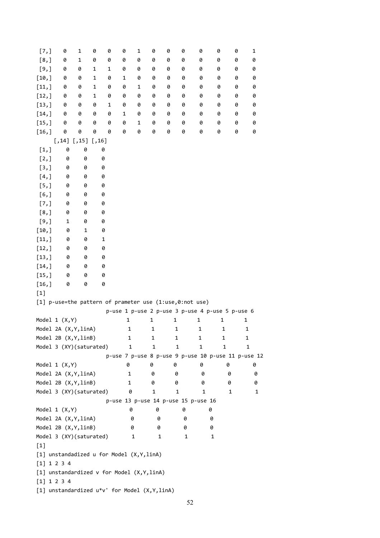| [7,]                                                       | 0                                                       | $\mathbf{1}$ | 0       | 0 | 0 | 1 | 0 | 0 | 0 | 0                                   | 0                                                  | 0 | 1 |
|------------------------------------------------------------|---------------------------------------------------------|--------------|---------|---|---|---|---|---|---|-------------------------------------|----------------------------------------------------|---|---|
| [8,]                                                       | 0                                                       | $\mathbf 1$  | 0       | 0 | 0 | 0 | 0 | 0 | 0 | 0                                   | 0                                                  | 0 | 0 |
| [9,]                                                       | 0                                                       | 0            | 1       | 1 | 0 | 0 | 0 | 0 | 0 | 0                                   | 0                                                  | 0 | 0 |
| [10, ]                                                     | 0                                                       | 0            | 1       | 0 | 1 | 0 | 0 | 0 | 0 | 0                                   | 0                                                  | 0 | 0 |
| $[11,]$                                                    | 0                                                       | 0            | 1       | 0 | 0 | 1 | 0 | 0 | 0 | 0                                   | 0                                                  | 0 | 0 |
| [12,]                                                      | 0                                                       | 0            | 1       | 0 | 0 | 0 | 0 | 0 | 0 | 0                                   | 0                                                  | 0 | 0 |
| [13,]                                                      | 0                                                       | 0            | 0       | 1 | 0 | 0 | 0 | 0 | 0 | 0                                   | 0                                                  | 0 | 0 |
| $[14,]$                                                    | 0                                                       | 0            | 0       | 0 | 1 | 0 | 0 | 0 | 0 | 0                                   | 0                                                  | 0 | 0 |
| $[15,]$                                                    | 0                                                       | 0            | 0       | 0 | 0 | 1 | 0 | 0 | 0 | 0                                   | 0                                                  | 0 | 0 |
| $[16, ]$                                                   | 0                                                       | 0            | 0       | 0 | 0 | 0 | 0 | 0 | 0 | 0                                   | 0                                                  | 0 | 0 |
|                                                            | $[,14]$                                                 | $[,15]$      | $[,16]$ |   |   |   |   |   |   |                                     |                                                    |   |   |
| $[1,]$                                                     | 0                                                       | 0            | 0       |   |   |   |   |   |   |                                     |                                                    |   |   |
| [2,]                                                       | 0                                                       | 0            | 0       |   |   |   |   |   |   |                                     |                                                    |   |   |
| $[3,]$                                                     | 0                                                       | 0            | 0       |   |   |   |   |   |   |                                     |                                                    |   |   |
| [4,]                                                       | 0                                                       | 0            | 0       |   |   |   |   |   |   |                                     |                                                    |   |   |
| $[5,]$                                                     | 0                                                       | 0            | 0       |   |   |   |   |   |   |                                     |                                                    |   |   |
| [6,]                                                       | 0                                                       | 0            | 0       |   |   |   |   |   |   |                                     |                                                    |   |   |
| [7,]                                                       | 0                                                       | 0            | 0       |   |   |   |   |   |   |                                     |                                                    |   |   |
| [8,]                                                       | 0                                                       | 0            | 0       |   |   |   |   |   |   |                                     |                                                    |   |   |
| [9,]                                                       | 1                                                       | 0            | 0       |   |   |   |   |   |   |                                     |                                                    |   |   |
| $[10,]$                                                    | 0                                                       | 1            | 0       |   |   |   |   |   |   |                                     |                                                    |   |   |
| [11,]                                                      | 0                                                       | 0            | 1       |   |   |   |   |   |   |                                     |                                                    |   |   |
| [12,]                                                      | 0                                                       | 0            | 0       |   |   |   |   |   |   |                                     |                                                    |   |   |
| [13,]                                                      | 0                                                       | 0            | 0       |   |   |   |   |   |   |                                     |                                                    |   |   |
| $[14,]$                                                    | 0                                                       | 0            | 0       |   |   |   |   |   |   |                                     |                                                    |   |   |
| [15,]                                                      | 0                                                       | 0            | 0       |   |   |   |   |   |   |                                     |                                                    |   |   |
| $[16, ]$                                                   | 0                                                       | 0            | 0       |   |   |   |   |   |   |                                     |                                                    |   |   |
| $[1]$                                                      |                                                         |              |         |   |   |   |   |   |   |                                     |                                                    |   |   |
|                                                            | [1] p-use=the pattern of prameter use (1:use,0:not use) |              |         |   |   |   |   |   |   |                                     |                                                    |   |   |
|                                                            |                                                         |              |         |   |   |   |   |   |   |                                     | p-use 1 p-use 2 p-use 3 p-use 4 p-use 5 p-use 6    |   |   |
|                                                            | Model $1 (X,Y)$                                         |              |         |   | 1 |   | 1 | 1 |   | 1                                   | 1                                                  |   | 1 |
|                                                            | Model 2A (X, Y, linA)                                   |              |         |   | 1 |   | 1 |   | 1 | 1                                   | 1                                                  |   | 1 |
|                                                            | Model 2B (X, Y, linB)                                   |              |         |   | 1 |   | 1 |   | 1 | 1                                   | 1                                                  |   | 1 |
|                                                            | Model 3 (XY)(saturated)                                 |              |         |   | 1 |   | 1 |   | 1 | 1                                   | 1                                                  |   | 1 |
|                                                            |                                                         |              |         |   |   |   |   |   |   |                                     | p-use 7 p-use 8 p-use 9 p-use 10 p-use 11 p-use 12 |   |   |
|                                                            | Model $1 (X,Y)$                                         |              |         |   | 0 |   | 0 | 0 |   | 0                                   | 0                                                  |   | 0 |
|                                                            | Model 2A (X, Y, linA)                                   |              |         |   | 1 |   | 0 |   | 0 | 0                                   | 0                                                  |   | 0 |
|                                                            | Model 2B (X, Y, linB)                                   |              |         |   | 1 |   | 0 |   | 0 | 0                                   | 0                                                  |   | 0 |
|                                                            | Model 3 (XY)(saturated)                                 |              |         |   | 0 |   | 1 |   | 1 | 1                                   | 1                                                  |   | 1 |
|                                                            |                                                         |              |         |   |   |   |   |   |   | p-use 13 p-use 14 p-use 15 p-use 16 |                                                    |   |   |
|                                                            | Model $1 (X,Y)$                                         |              |         |   | 0 |   | 0 |   | 0 | 0                                   |                                                    |   |   |
|                                                            | Model 2A (X, Y, linA)                                   |              |         |   |   | 0 | 0 |   | 0 |                                     | 0                                                  |   |   |
|                                                            | Model 2B (X, Y, linB)                                   |              |         |   |   | 0 | 0 |   | 0 |                                     | 0                                                  |   |   |
|                                                            | Model 3 (XY)(saturated)                                 |              |         |   |   | 1 | 1 |   | 1 |                                     | 1                                                  |   |   |
| $[1]$                                                      |                                                         |              |         |   |   |   |   |   |   |                                     |                                                    |   |   |
|                                                            |                                                         |              |         |   |   |   |   |   |   |                                     |                                                    |   |   |
| [1] unstandadized u for Model (X, Y, linA)                 |                                                         |              |         |   |   |   |   |   |   |                                     |                                                    |   |   |
| [1] 1 2 3 4                                                |                                                         |              |         |   |   |   |   |   |   |                                     |                                                    |   |   |
| [1] unstandardized v for Model (X, Y, linA)<br>[1] 1 2 3 4 |                                                         |              |         |   |   |   |   |   |   |                                     |                                                    |   |   |
|                                                            |                                                         |              |         |   |   |   |   |   |   |                                     |                                                    |   |   |
| [1] unstandardized u*v' for Model (X, Y, linA)             |                                                         |              |         |   |   |   |   |   |   |                                     |                                                    |   |   |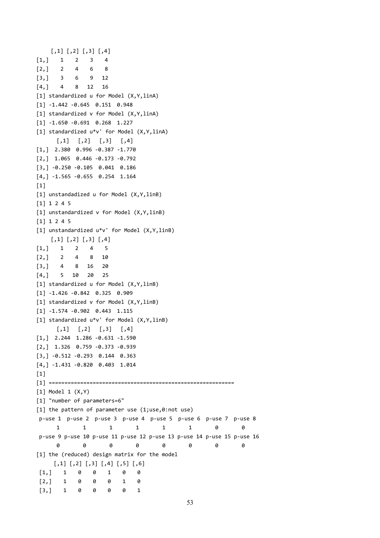```
[,1] [,2] [,3] [,4]
[1,] 1 2 3 4
[2,] 2 4 6 8
[3,] 3 6 9 12
[4,] 4 8 12 16
[1] standardized u for Model (X,Y,linA)
[1] -1.442 -0.645 0.151 0.948
[1] standardized v for Model (X,Y,linA)
[1] -1.650 -0.691 0.268 1.227
[1] standardized u*v' for Model (X,Y,linA)
     \begin{bmatrix} 1 \\ 2 \end{bmatrix} \begin{bmatrix} 3 \\ 4 \end{bmatrix}[1,] 2.380 0.996 -0.387 -1.770
[2,] 1.065 0.446 -0.173 -0.792
[3,] -0.250 -0.105 0.041 0.186
[4,] -1.565 -0.655 0.254 1.164
[1][1] unstandadized u for Model (X,Y,linB)
[1] 1 2 4 5
[1] unstandardized v for Model (X,Y,linB)
[1] 1 2 4 5
[1] unstandardized u*v' for Model (X,Y,linB)
    [,1] [,2] [,3] [,4]
[1,] 1 2 4 5
[2,] 2 4 8 10
[3,] 4 8 16 20
[4,] 5 10 20 25
[1] standardized u for Model (X,Y,linB)
[1] -1.426 -0.842 0.325 0.909
[1] standardized v for Model (X,Y,linB)
[1] -1.574 -0.902 0.443 1.115
[1] standardized u*v' for Model (X,Y,linB)
     [,1] [,2] [,3] [,4][1,] 2.244 1.286 -0.631 -1.590
[2,] 1.326 0.759 -0.373 -0.939
[3,] -0.512 -0.293 0.144 0.363
[4,] -1.431 -0.820 0.403 1.014
[1][1] ===========================================================
[1] Model 1 (X,Y)
[1] "number of parameters=6"
[1] the pattern of parameter use (1;use,0:not use)
p-use 1 p-use 2 p-use 3 p-use 4 p-use 5 p-use 6 p-use 7 p-use 8
      1 1 1 1 1 1 0 0
p-use 9 p-use 10 p-use 11 p-use 12 p-use 13 p-use 14 p-use 15 p-use 16
      0 0 0 0 0 0 0 0
[1] the (reduced) design matrix for the model
     [,1] [,2] [,3] [,4] [,5] [,6]
[1,] 1 0 0 1 0 0
[2,] 1 0 0 0 1 0
[3,] 1 0 0 0 0 1
```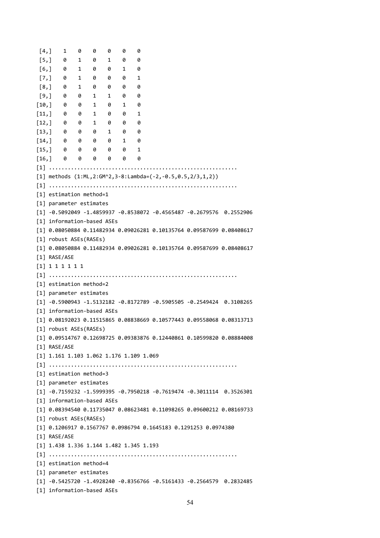| [4,]                |                 | 1 | 0                      | 0                          | 0 | 0            | 0                                         |                                                                               |  |                                                                                    |
|---------------------|-----------------|---|------------------------|----------------------------|---|--------------|-------------------------------------------|-------------------------------------------------------------------------------|--|------------------------------------------------------------------------------------|
|                     | [5,]            | 0 | $\mathbf{1}$           | 0                          | 1 | 0            | 0                                         |                                                                               |  |                                                                                    |
| [6, ]               |                 | 0 | $\mathbf{1}$           | 0                          | 0 | 1            | 0                                         |                                                                               |  |                                                                                    |
| $\left[7, \right]$  |                 | 0 | 1                      | 0                          | 0 | 0            | 1                                         |                                                                               |  |                                                                                    |
| [8,]                |                 | 0 | $\mathbf{1}$           | 0                          | 0 | 0            | 0                                         |                                                                               |  |                                                                                    |
| [9,]                |                 | 0 | 0                      | 1                          | 1 | 0            | 0                                         |                                                                               |  |                                                                                    |
| [10,]               |                 | 0 | 0                      | 1                          | 0 | 1            | 0                                         |                                                                               |  |                                                                                    |
|                     | [11,]           | 0 | 0                      | 1                          | 0 | 0            | 1                                         |                                                                               |  |                                                                                    |
| [12,]               |                 | 0 | 0                      | 1                          | 0 | 0            | 0                                         |                                                                               |  |                                                                                    |
|                     | [13, 9]         |   | 0                      | 0                          | 1 | 0            | 0                                         |                                                                               |  |                                                                                    |
| $\lceil 14, \rceil$ | - 0             |   | 0                      | 0                          | 0 | $\mathbf{1}$ | 0                                         |                                                                               |  |                                                                                    |
| [15,]               | - 0             |   | 0                      | 0                          | 0 | 0            | 1                                         |                                                                               |  |                                                                                    |
|                     | $[16, $ 0       |   | 0                      | 0                          | 0 | 0            | 0                                         |                                                                               |  |                                                                                    |
|                     |                 |   |                        |                            |   |              |                                           |                                                                               |  |                                                                                    |
|                     |                 |   |                        |                            |   |              |                                           | [1] methods $(1:ML, 2:GM^2, 3-8:Lambdaeda=(-2, -0.5, 0.5, 2/3, 1, 2))$        |  |                                                                                    |
| $\lceil 1 \rceil$   |                 |   |                        |                            |   |              |                                           |                                                                               |  |                                                                                    |
|                     |                 |   |                        | [1] estimation method=1    |   |              |                                           |                                                                               |  |                                                                                    |
|                     |                 |   |                        | [1] parameter estimates    |   |              |                                           |                                                                               |  |                                                                                    |
|                     |                 |   |                        |                            |   |              |                                           |                                                                               |  | $\lceil 1 \rceil$ -0.5092049 -1.4859937 -0.8538072 -0.4565487 -0.2679576 0.2552906 |
|                     |                 |   |                        | [1] information-based ASEs |   |              |                                           |                                                                               |  |                                                                                    |
|                     |                 |   |                        |                            |   |              |                                           |                                                                               |  | [1] 0.08050884 0.11482934 0.09026281 0.10135764 0.09587699 0.08408617              |
|                     |                 |   |                        | [1] robust ASEs(RASEs)     |   |              |                                           |                                                                               |  |                                                                                    |
|                     |                 |   |                        |                            |   |              |                                           |                                                                               |  | $[1]$ 0.08050884 0.11482934 0.09026281 0.10135764 0.09587699 0.08408617            |
|                     | [1] RASE/ASE    |   |                        |                            |   |              |                                           |                                                                               |  |                                                                                    |
|                     |                 |   |                        |                            |   |              |                                           |                                                                               |  |                                                                                    |
|                     | [1] 1 1 1 1 1 1 |   |                        |                            |   |              |                                           |                                                                               |  |                                                                                    |
|                     |                 |   |                        |                            |   |              |                                           |                                                                               |  |                                                                                    |
|                     |                 |   |                        | [1] estimation method=2    |   |              |                                           |                                                                               |  |                                                                                    |
|                     |                 |   |                        | [1] parameter estimates    |   |              |                                           |                                                                               |  |                                                                                    |
|                     |                 |   |                        |                            |   |              |                                           |                                                                               |  | [1] -0.5900943 -1.5132182 -0.8172789 -0.5905505 -0.2549424 0.3108265               |
|                     |                 |   |                        | [1] information-based ASEs |   |              |                                           |                                                                               |  |                                                                                    |
|                     |                 |   |                        |                            |   |              |                                           |                                                                               |  | [1] 0.08192023 0.11515865 0.08838669 0.10577443 0.09558068 0.08313713              |
|                     |                 |   | [1] robust ASEs(RASEs) |                            |   |              |                                           |                                                                               |  |                                                                                    |
|                     |                 |   |                        |                            |   |              |                                           |                                                                               |  | [1] 0.09514767 0.12698725 0.09383876 0.12440861 0.10599820 0.08884008              |
|                     | [1] RASE/ASE    |   |                        |                            |   |              |                                           |                                                                               |  |                                                                                    |
|                     |                 |   |                        |                            |   |              | $[1]$ 1.161 1.103 1.062 1.176 1.109 1.069 |                                                                               |  |                                                                                    |
|                     |                 |   |                        |                            |   |              |                                           |                                                                               |  |                                                                                    |
|                     |                 |   |                        | [1] estimation method=3    |   |              |                                           |                                                                               |  |                                                                                    |
|                     |                 |   |                        | [1] parameter estimates    |   |              |                                           |                                                                               |  |                                                                                    |
|                     |                 |   |                        |                            |   |              |                                           |                                                                               |  | $\lceil 1 \rceil$ -0.7159232 -1.5999395 -0.7950218 -0.7619474 -0.3011114 0.3526301 |
|                     |                 |   |                        | [1] information-based ASEs |   |              |                                           |                                                                               |  |                                                                                    |
|                     |                 |   |                        |                            |   |              |                                           |                                                                               |  | [1] 0.08394540 0.11735047 0.08623481 0.11098265 0.09600212 0.08169733              |
|                     |                 |   |                        | [1] robust ASEs(RASEs)     |   |              |                                           |                                                                               |  |                                                                                    |
|                     |                 |   |                        |                            |   |              |                                           | $\lceil 1 \rceil$ 0.1206917 0.1567767 0.0986794 0.1645183 0.1291253 0.0974380 |  |                                                                                    |
|                     | [1] RASE/ASE    |   |                        |                            |   |              |                                           |                                                                               |  |                                                                                    |
|                     |                 |   |                        |                            |   |              | [1] 1.438 1.336 1.144 1.482 1.345 1.193   |                                                                               |  |                                                                                    |
|                     |                 |   |                        |                            |   |              |                                           |                                                                               |  |                                                                                    |
|                     |                 |   |                        | [1] estimation method=4    |   |              |                                           |                                                                               |  |                                                                                    |
|                     |                 |   |                        | [1] parameter estimates    |   |              |                                           |                                                                               |  |                                                                                    |
|                     |                 |   |                        |                            |   |              |                                           |                                                                               |  | $[1]$ -0.5425720 -1.4928240 -0.8356766 -0.5161433 -0.2564579 0.2832485             |
|                     |                 |   |                        | [1] information-based ASEs |   |              |                                           |                                                                               |  |                                                                                    |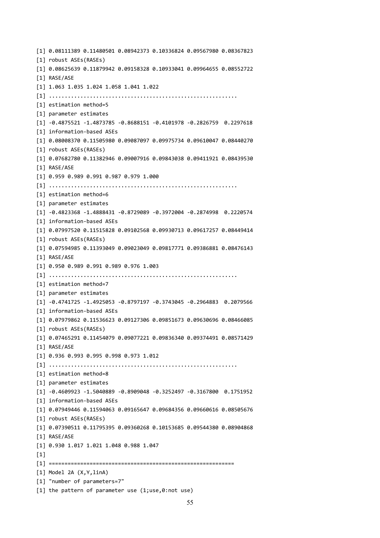[1] 0.08111389 0.11480501 0.08942373 0.10336824 0.09567980 0.08367823 [1] robust ASEs(RASEs) [1] 0.08625639 0.11879942 0.09158328 0.10933041 0.09964655 0.08552722 [1] RASE/ASE [1] 1.063 1.035 1.024 1.058 1.041 1.022 [1] ............................................................ [1] estimation method=5 [1] parameter estimates [1] -0.4875521 -1.4873785 -0.8688151 -0.4101978 -0.2826759 0.2297618 [1] information-based ASEs [1] 0.08008370 0.11505980 0.09087097 0.09975734 0.09610047 0.08440270 [1] robust ASEs(RASEs) [1] 0.07682780 0.11382946 0.09007916 0.09843038 0.09411921 0.08439530 [1] RASE/ASE [1] 0.959 0.989 0.991 0.987 0.979 1.000 [1] ............................................................ [1] estimation method=6 [1] parameter estimates [1] -0.4823368 -1.4888431 -0.8729089 -0.3972004 -0.2874998 0.2220574 [1] information-based ASEs [1] 0.07997520 0.11515828 0.09102568 0.09930713 0.09617257 0.08449414 [1] robust ASEs(RASEs) [1] 0.07594985 0.11393049 0.09023049 0.09817771 0.09386881 0.08476143 [1] RASE/ASE [1] 0.950 0.989 0.991 0.989 0.976 1.003 [1] ............................................................ [1] estimation method=7 [1] parameter estimates [1] -0.4741725 -1.4925053 -0.8797197 -0.3743045 -0.2964883 0.2079566 [1] information-based ASEs [1] 0.07979862 0.11536623 0.09127306 0.09851673 0.09630696 0.08466085 [1] robust ASEs(RASEs) [1] 0.07465291 0.11454079 0.09077221 0.09836340 0.09374491 0.08571429 [1] RASE/ASE [1] 0.936 0.993 0.995 0.998 0.973 1.012 [1] ............................................................ [1] estimation method=8 [1] parameter estimates [1] -0.4609923 -1.5040889 -0.8909048 -0.3252497 -0.3167800 0.1751952 [1] information-based ASEs [1] 0.07949446 0.11594063 0.09165647 0.09684356 0.09660616 0.08505676 [1] robust ASEs(RASEs) [1] 0.07390511 0.11795395 0.09360268 0.10153685 0.09544380 0.08904868 [1] RASE/ASE [1] 0.930 1.017 1.021 1.048 0.988 1.047  $[1]$ [1] =========================================================== [1] Model 2A (X,Y,linA) [1] "number of parameters=7" [1] the pattern of parameter use (1;use,0:not use)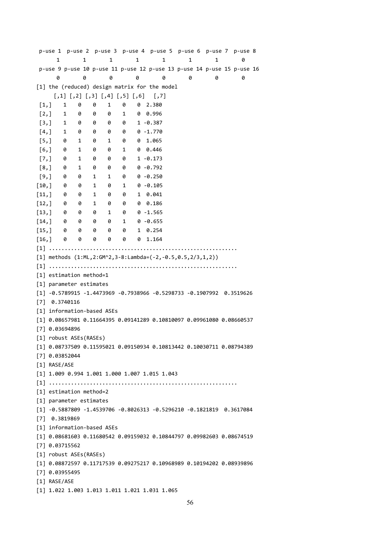p-use 1 p-use 2 p-use 3 p-use 4 p-use 5 p-use 6 p-use 7 p-use 8 1 1 1 1 1 1 1 0 p-use 9 p-use 10 p-use 11 p-use 12 p-use 13 p-use 14 p-use 15 p-use 16 0 0 0 0 0 0 0 0 [1] the (reduced) design matrix for the model [,1] [,2] [,3] [,4] [,5] [,6] [,7] [1,] 1 0 0 1 0 0 2.380 [2,] 1 0 0 0 1 0 0.996 [3,] 1 0 0 0 0 1 -0.387 [4,] 1 0 0 0 0 0 -1.770 [5,] 0 1 0 1 0 0 1.065 [6,] 0 1 0 0 1 0 0.446 [7,] 0 1 0 0 0 1 -0.173 [8,] 0 1 0 0 0 0 -0.792 [9,] 0 0 1 1 0 0 -0.250 [10,] 0 0 1 0 1 0 -0.105 [11,] 0 0 1 0 0 1 0.041 [12,] 0 0 1 0 0 0 0.186 [13,] 0 0 0 1 0 0 -1.565  $[14,]$  0 0 0 0 1 0 -0.655 [15,] 0 0 0 0 0 1 0.254 [16,] 0 0 0 0 0 0 1.164 [1] ............................................................ [1] methods (1:ML,2:GM^2,3-8:Lambda=(-2,-0.5,0.5,2/3,1,2)) [1] ............................................................ [1] estimation method=1 [1] parameter estimates [1] -0.5789915 -1.4473969 -0.7938966 -0.5298733 -0.1907992 0.3519626 [7] 0.3740116 [1] information-based ASEs [1] 0.08657981 0.11664395 0.09141289 0.10810097 0.09961080 0.08660537 [7] 0.03694896 [1] robust ASEs(RASEs) [1] 0.08737509 0.11595021 0.09150934 0.10813442 0.10030711 0.08794389 [7] 0.03852044 [1] RASE/ASE [1] 1.009 0.994 1.001 1.000 1.007 1.015 1.043 [1] ............................................................ [1] estimation method=2 [1] parameter estimates [1] -0.5887809 -1.4539706 -0.8026313 -0.5296210 -0.1821819 0.3617084 [7] 0.3819869 [1] information-based ASEs [1] 0.08681603 0.11680542 0.09159032 0.10844797 0.09982603 0.08674519 [7] 0.03715562 [1] robust ASEs(RASEs) [1] 0.08872597 0.11717539 0.09275217 0.10968989 0.10194202 0.08939896 [7] 0.03955495 [1] RASE/ASE [1] 1.022 1.003 1.013 1.011 1.021 1.031 1.065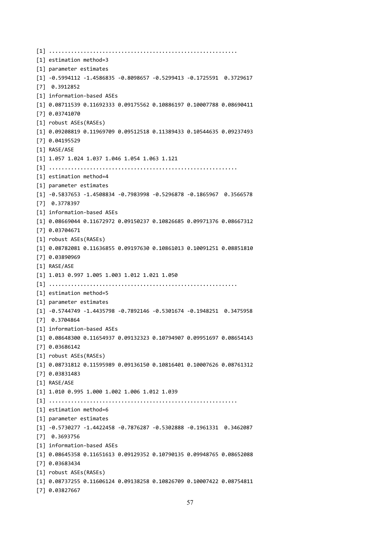[1] ............................................................ [1] estimation method=3 [1] parameter estimates [1] -0.5994112 -1.4586835 -0.8098657 -0.5299413 -0.1725591 0.3729617 [7] 0.3912852 [1] information-based ASEs [1] 0.08711539 0.11692333 0.09175562 0.10886197 0.10007788 0.08690411 [7] 0.03741070 [1] robust ASEs(RASEs) [1] 0.09208819 0.11969709 0.09512518 0.11389433 0.10544635 0.09237493 [7] 0.04195529 [1] RASE/ASE [1] 1.057 1.024 1.037 1.046 1.054 1.063 1.121 [1] ............................................................ [1] estimation method=4 [1] parameter estimates [1] -0.5837653 -1.4508834 -0.7983998 -0.5296878 -0.1865967 0.3566578 [7] 0.3778397 [1] information-based ASEs [1] 0.08669044 0.11672972 0.09150237 0.10826685 0.09971376 0.08667312 [7] 0.03704671 [1] robust ASEs(RASEs) [1] 0.08782081 0.11636855 0.09197630 0.10861013 0.10091251 0.08851810 [7] 0.03890969 [1] RASE/ASE [1] 1.013 0.997 1.005 1.003 1.012 1.021 1.050 [1] ............................................................ [1] estimation method=5 [1] parameter estimates [1] -0.5744749 -1.4435798 -0.7892146 -0.5301674 -0.1948251 0.3475958 [7] 0.3704864 [1] information-based ASEs [1] 0.08648300 0.11654937 0.09132323 0.10794907 0.09951697 0.08654143 [7] 0.03686142 [1] robust ASEs(RASEs) [1] 0.08731812 0.11595989 0.09136150 0.10816401 0.10007626 0.08761312 [7] 0.03831483 [1] RASE/ASE [1] 1.010 0.995 1.000 1.002 1.006 1.012 1.039 [1] ............................................................ [1] estimation method=6 [1] parameter estimates [1] -0.5730277 -1.4422458 -0.7876287 -0.5302888 -0.1961331 0.3462087 [7] 0.3693756 [1] information-based ASEs [1] 0.08645358 0.11651613 0.09129352 0.10790135 0.09948765 0.08652088 [7] 0.03683434 [1] robust ASEs(RASEs) [1] 0.08737255 0.11606124 0.09138258 0.10826709 0.10007422 0.08754811 [7] 0.03827667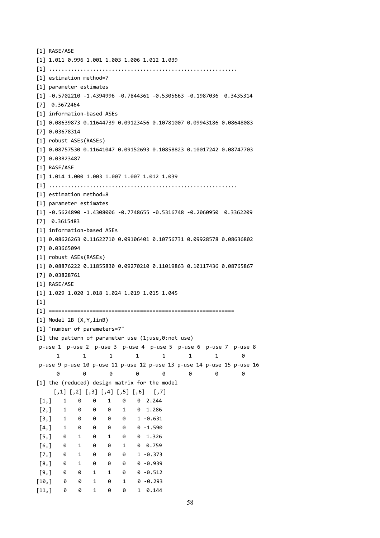```
[1] RASE/ASE
[1] 1.011 0.996 1.001 1.003 1.006 1.012 1.039
[1] ............................................................
[1] estimation method=7
[1] parameter estimates
[1] -0.5702210 -1.4394996 -0.7844361 -0.5305663 -0.1987036 0.3435314
[7] 0.3672464
[1] information-based ASEs
[1] 0.08639873 0.11644739 0.09123456 0.10781007 0.09943186 0.08648083
[7] 0.03678314
[1] robust ASEs(RASEs)
[1] 0.08757530 0.11641047 0.09152693 0.10858823 0.10017242 0.08747703
[7] 0.03823487
[1] RASE/ASE
[1] 1.014 1.000 1.003 1.007 1.007 1.012 1.039
[1] ............................................................
[1] estimation method=8
[1] parameter estimates
[1] -0.5624890 -1.4308006 -0.7748655 -0.5316748 -0.2060950 0.3362209
[7] 0.3615483
[1] information-based ASEs
[1] 0.08626263 0.11622710 0.09106401 0.10756731 0.09928578 0.08636802
[7] 0.03665094
[1] robust ASEs(RASEs)
[1] 0.08876222 0.11855830 0.09270210 0.11019863 0.10117436 0.08765867
[7] 0.03828761
[1] RASE/ASE
[1] 1.029 1.020 1.018 1.024 1.019 1.015 1.045
[1]
[1] ===========================================================
[1] Model 2B (X,Y,linB)
[1] "number of parameters=7"
[1] the pattern of parameter use (1;use,0:not use)
p-use 1 p-use 2 p-use 3 p-use 4 p-use 5 p-use 6 p-use 7 p-use 8
     1 1 1 1 1 1 1 0
p-use 9 p-use 10 p-use 11 p-use 12 p-use 13 p-use 14 p-use 15 p-use 16
     0 0 0 0 0 0 0 0
[1] the (reduced) design matrix for the model
    [,1] [,2] [,3] [,4] [,5] [,6] [,7]
[1,] 1 0 0 1 0 0 2.244
[2,] 1 0 0 0 1 0 1.286
[3,] 1 0 0 0 0 1 -0.631
[4,] 1 0 0 0 0 0 -1.590
[5,] 0 1 0 1 0 0 1.326
[6,] 0 1 0 0 1 0 0.759
[7,] 0 1 0 0 0 1 -0.373
[8,] 0 1 0 0 0 0 -0.939
[9,] 0 0 1 1 0 0 -0.512
[10,] 0 0 1 0 1 0 -0.293
[11,] 0 0 1 0 0 1 0.144
```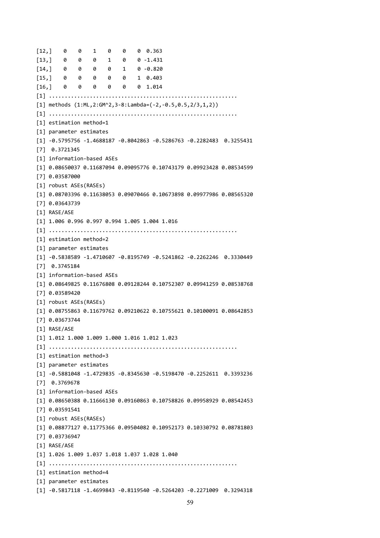[12,] 0 0 1 0 0 0 0.363 [13,] 0 0 0 1 0 0 -1.431  $[14,]$  0 0 0 0 1 0 -0.820 [15,] 0 0 0 0 0 1 0.403 [16,] 0 0 0 0 0 0 1.014 [1] ............................................................ [1] methods (1:ML,2:GM^2,3-8:Lambda=(-2,-0.5,0.5,2/3,1,2)) [1] ............................................................ [1] estimation method=1 [1] parameter estimates [1] -0.5795756 -1.4688187 -0.8042863 -0.5286763 -0.2282483 0.3255431 [7] 0.3721345 [1] information-based ASEs [1] 0.08650037 0.11687094 0.09095776 0.10743179 0.09923428 0.08534599 [7] 0.03587000 [1] robust ASEs(RASEs) [1] 0.08703396 0.11638053 0.09070466 0.10673898 0.09977986 0.08565320 [7] 0.03643739 [1] RASE/ASE [1] 1.006 0.996 0.997 0.994 1.005 1.004 1.016 [1] ............................................................ [1] estimation method=2 [1] parameter estimates [1] -0.5838589 -1.4710607 -0.8195749 -0.5241862 -0.2262246 0.3330449 [7] 0.3745184 [1] information-based ASEs [1] 0.08649825 0.11676808 0.09128244 0.10752307 0.09941259 0.08538768 [7] 0.03589420 [1] robust ASEs(RASEs) [1] 0.08755863 0.11679762 0.09210622 0.10755621 0.10100091 0.08642853 [7] 0.03673744 [1] RASE/ASE [1] 1.012 1.000 1.009 1.000 1.016 1.012 1.023 [1] ............................................................ [1] estimation method=3 [1] parameter estimates [1] -0.5881048 -1.4729835 -0.8345630 -0.5198470 -0.2252611 0.3393236 [7] 0.3769678 [1] information-based ASEs [1] 0.08650388 0.11666130 0.09160863 0.10758826 0.09958929 0.08542453 [7] 0.03591541 [1] robust ASEs(RASEs) [1] 0.08877127 0.11775366 0.09504082 0.10952173 0.10330792 0.08781803 [7] 0.03736947 [1] RASE/ASE [1] 1.026 1.009 1.037 1.018 1.037 1.028 1.040 [1] ............................................................ [1] estimation method=4 [1] parameter estimates [1] -0.5817118 -1.4699843 -0.8119540 -0.5264203 -0.2271009 0.3294318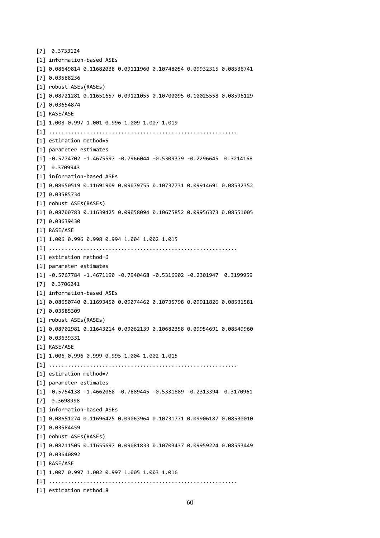```
[7] 0.3733124
[1] information-based ASEs
[1] 0.08649814 0.11682038 0.09111960 0.10748054 0.09932315 0.08536741
[7] 0.03588236
[1] robust ASEs(RASEs)
[1] 0.08721281 0.11651657 0.09121055 0.10700095 0.10025558 0.08596129
[7] 0.03654874
[1] RASE/ASE
[1] 1.008 0.997 1.001 0.996 1.009 1.007 1.019
[1] ............................................................
[1] estimation method=5
[1] parameter estimates
[1] -0.5774702 -1.4675597 -0.7966044 -0.5309379 -0.2296645 0.3214168
[7] 0.3709943
[1] information-based ASEs
[1] 0.08650519 0.11691909 0.09079755 0.10737731 0.09914691 0.08532352
[7] 0.03585734
[1] robust ASEs(RASEs)
[1] 0.08700783 0.11639425 0.09058094 0.10675852 0.09956373 0.08551005
[7] 0.03639430
[1] RASE/ASE
[1] 1.006 0.996 0.998 0.994 1.004 1.002 1.015
[1] ............................................................
[1] estimation method=6
[1] parameter estimates
[1] -0.5767784 -1.4671190 -0.7940468 -0.5316902 -0.2301947 0.3199959
[7] 0.3706241
[1] information-based ASEs
[1] 0.08650740 0.11693450 0.09074462 0.10735798 0.09911826 0.08531581
[7] 0.03585309
[1] robust ASEs(RASEs)
[1] 0.08702981 0.11643214 0.09062139 0.10682358 0.09954691 0.08549960
[7] 0.03639331
[1] RASE/ASE
[1] 1.006 0.996 0.999 0.995 1.004 1.002 1.015
[1] ............................................................
[1] estimation method=7
[1] parameter estimates
[1] -0.5754138 -1.4662068 -0.7889445 -0.5331889 -0.2313394 0.3170961
[7] 0.3698998
[1] information-based ASEs
[1] 0.08651274 0.11696425 0.09063964 0.10731771 0.09906187 0.08530010
[7] 0.03584459
[1] robust ASEs(RASEs)
[1] 0.08711505 0.11655697 0.09081833 0.10703437 0.09959224 0.08553449
[7] 0.03640892
[1] RASE/ASE
[1] 1.007 0.997 1.002 0.997 1.005 1.003 1.016
[1] ............................................................
[1] estimation method=8
```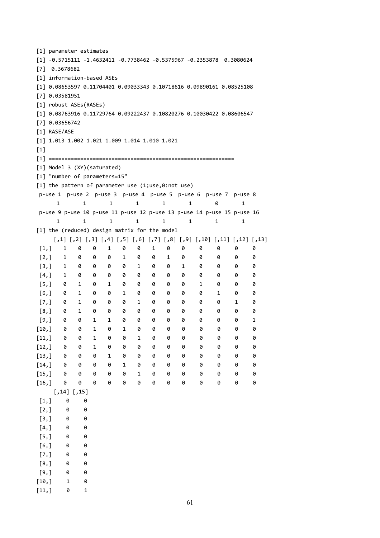```
[1] parameter estimates
[1] -0.5715111 -1.4632411 -0.7738462 -0.5375967 -0.2353878 0.3080624
[7] 0.3678682
[1] information-based ASEs
[1] 0.08653597 0.11704401 0.09033343 0.10718616 0.09890161 0.08525108
[7] 0.03581951
[1] robust ASEs(RASEs)
[1] 0.08763916 0.11729764 0.09222437 0.10820276 0.10030422 0.08606547
[7] 0.03656742
[1] RASE/ASE
[1] 1.013 1.002 1.021 1.009 1.014 1.010 1.021
[1][1] ===========================================================
[1] Model 3 (XY)(saturated)
[1] "number of parameters=15"
[1] the pattern of parameter use (1;use,0:not use)
p-use 1 p-use 2 p-use 3 p-use 4 p-use 5 p-use 6 p-use 7 p-use 8
    1 1 1 1 1 1 0 1
p-use 9 p-use 10 p-use 11 p-use 12 p-use 13 p-use 14 p-use 15 p-use 16
    1 1 1 1 1 1 1 1 1
[1] the (reduced) design matrix for the model
   [,1] [,2] [,3] [,4] [,5] [,6] [,7] [,8] [,9] [,10] [,11] [,12] [,13]
[1,] 1 0 0 1 0 0 1 0 0 0 0 0 0
[2,] 1 0 0 0 1 0 0 1 0 0 0 0 0
[3,] 1 0 0 0 0 1 0 0 1 0 0 0 0
[4,] 1 0 0 0 0 0 0 0 0 0 0 0 0
[5,] 0 1 0 1 0 0 0 0 0 1 0 0 0
[6,] 0 1 0 0 1 0 0 0 0 0 1 0 0
[7,] 0 1 0 0 0 1 0 0 0 0 0 1 0
[8,] 0 1 0 0 0 0 0 0 0 0 0 0 0
[9,] 0 0 1 1 0 0 0 0 0 0 0 0 1
[10,] 0 0 1 0 1 0 0 0 0 0 0 0 0
[11,] 0 0 1 0 0 1 0 0 0 0 0 0 0
[12,] 0 0 1 0 0 0 0 0 0 0 0 0 0
[13,] 0 0 0 1 0 0 0 0 0 0 0 0 0
[14,] 0 0 0 0 1 0 0 0 0 0 0 0 0
[15,] 0 0 0 0 0 1 0 0 0 0 0 0 0
[16,] 0 0 0 0 0 0 0 0 0 0 0 0 0
   [,14] [,15][1,] 0 0[2, 1 0 0[3,] 0 0[4,] 0 0[5,] 0 0[6, 1 0 0[7, 1 0 0[8,] 0 0[9,1 0 0[10, 1 1 0[11,] 0 1
```

```
61
```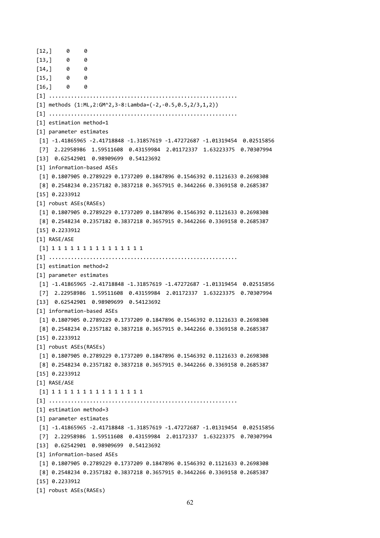$[12,] 0 0$  $[13,] 0 0$  $[14,] 0 0$  $[15,] 0 0$  $[16,] 0 0$ [1] ............................................................ [1] methods (1:ML,2:GM^2,3-8:Lambda=(-2,-0.5,0.5,2/3,1,2)) [1] ............................................................ [1] estimation method=1 [1] parameter estimates [1] -1.41865965 -2.41718848 -1.31857619 -1.47272687 -1.01319454 0.02515856 [7] 2.22958986 1.59511608 0.43159984 2.01172337 1.63223375 0.70307994 [13] 0.62542901 0.98909699 0.54123692 [1] information-based ASEs [1] 0.1807905 0.2789229 0.1737209 0.1847896 0.1546392 0.1121633 0.2698308 [8] 0.2548234 0.2357182 0.3837218 0.3657915 0.3442266 0.3369158 0.2685387 [15] 0.2233912 [1] robust ASEs(RASEs) [1] 0.1807905 0.2789229 0.1737209 0.1847896 0.1546392 0.1121633 0.2698308 [8] 0.2548234 0.2357182 0.3837218 0.3657915 0.3442266 0.3369158 0.2685387 [15] 0.2233912 [1] RASE/ASE [1] 1 1 1 1 1 1 1 1 1 1 1 1 1 1 1 [1] ............................................................ [1] estimation method=2 [1] parameter estimates [1] -1.41865965 -2.41718848 -1.31857619 -1.47272687 -1.01319454 0.02515856 [7] 2.22958986 1.59511608 0.43159984 2.01172337 1.63223375 0.70307994 [13] 0.62542901 0.98909699 0.54123692 [1] information-based ASEs [1] 0.1807905 0.2789229 0.1737209 0.1847896 0.1546392 0.1121633 0.2698308 [8] 0.2548234 0.2357182 0.3837218 0.3657915 0.3442266 0.3369158 0.2685387 [15] 0.2233912 [1] robust ASEs(RASEs) [1] 0.1807905 0.2789229 0.1737209 0.1847896 0.1546392 0.1121633 0.2698308 [8] 0.2548234 0.2357182 0.3837218 0.3657915 0.3442266 0.3369158 0.2685387 [15] 0.2233912 [1] RASE/ASE [1] 1 1 1 1 1 1 1 1 1 1 1 1 1 1 1 [1] ............................................................ [1] estimation method=3 [1] parameter estimates [1] -1.41865965 -2.41718848 -1.31857619 -1.47272687 -1.01319454 0.02515856 [7] 2.22958986 1.59511608 0.43159984 2.01172337 1.63223375 0.70307994 [13] 0.62542901 0.98909699 0.54123692 [1] information-based ASEs [1] 0.1807905 0.2789229 0.1737209 0.1847896 0.1546392 0.1121633 0.2698308 [8] 0.2548234 0.2357182 0.3837218 0.3657915 0.3442266 0.3369158 0.2685387 [15] 0.2233912 [1] robust ASEs(RASEs)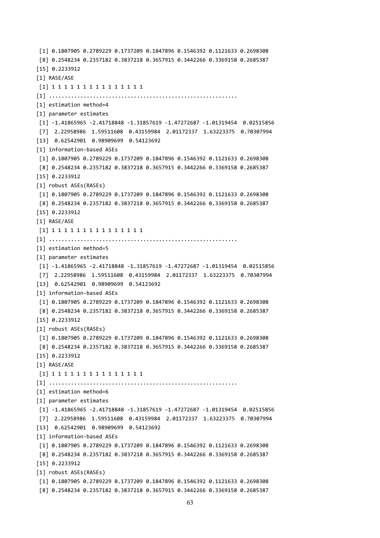```
[1] 0.1807905 0.2789229 0.1737209 0.1847896 0.1546392 0.1121633 0.2698308
[8] 0.2548234 0.2357182 0.3837218 0.3657915 0.3442266 0.3369158 0.2685387
[15] 0.2233912
[1] RASE/ASE
[1] 1 1 1 1 1 1 1 1 1 1 1 1 1 1 1
[1] ............................................................
[1] estimation method=4
[1] parameter estimates
[1] -1.41865965 -2.41718848 -1.31857619 -1.47272687 -1.01319454 0.02515856
[7] 2.22958986 1.59511608 0.43159984 2.01172337 1.63223375 0.70307994
[13] 0.62542901 0.98909699 0.54123692
[1] information-based ASEs
[1] 0.1807905 0.2789229 0.1737209 0.1847896 0.1546392 0.1121633 0.2698308
[8] 0.2548234 0.2357182 0.3837218 0.3657915 0.3442266 0.3369158 0.2685387
[15] 0.2233912
[1] robust ASEs(RASEs)
[1] 0.1807905 0.2789229 0.1737209 0.1847896 0.1546392 0.1121633 0.2698308
[8] 0.2548234 0.2357182 0.3837218 0.3657915 0.3442266 0.3369158 0.2685387
[15] 0.2233912
[1] RASE/ASE
[1] 1 1 1 1 1 1 1 1 1 1 1 1 1 1 1
[1] ............................................................
[1] estimation method=5
[1] parameter estimates
[1] -1.41865965 -2.41718848 -1.31857619 -1.47272687 -1.01319454 0.02515856
[7] 2.22958986 1.59511608 0.43159984 2.01172337 1.63223375 0.70307994
[13] 0.62542901 0.98909699 0.54123692
[1] information-based ASEs
[1] 0.1807905 0.2789229 0.1737209 0.1847896 0.1546392 0.1121633 0.2698308
[8] 0.2548234 0.2357182 0.3837218 0.3657915 0.3442266 0.3369158 0.2685387
[15] 0.2233912
[1] robust ASEs(RASEs)
[1] 0.1807905 0.2789229 0.1737209 0.1847896 0.1546392 0.1121633 0.2698308
[8] 0.2548234 0.2357182 0.3837218 0.3657915 0.3442266 0.3369158 0.2685387
[15] 0.2233912
[1] RASE/ASE
[1] 1 1 1 1 1 1 1 1 1 1 1 1 1 1 1
[1] ............................................................
[1] estimation method=6
[1] parameter estimates
[1] -1.41865965 -2.41718848 -1.31857619 -1.47272687 -1.01319454 0.02515856
[7] 2.22958986 1.59511608 0.43159984 2.01172337 1.63223375 0.70307994
[13] 0.62542901 0.98909699 0.54123692
[1] information-based ASEs
[1] 0.1807905 0.2789229 0.1737209 0.1847896 0.1546392 0.1121633 0.2698308
[8] 0.2548234 0.2357182 0.3837218 0.3657915 0.3442266 0.3369158 0.2685387
[15] 0.2233912
[1] robust ASEs(RASEs)
[1] 0.1807905 0.2789229 0.1737209 0.1847896 0.1546392 0.1121633 0.2698308
[8] 0.2548234 0.2357182 0.3837218 0.3657915 0.3442266 0.3369158 0.2685387
```